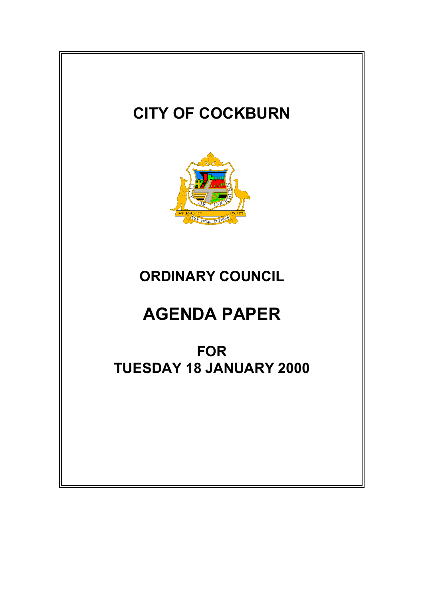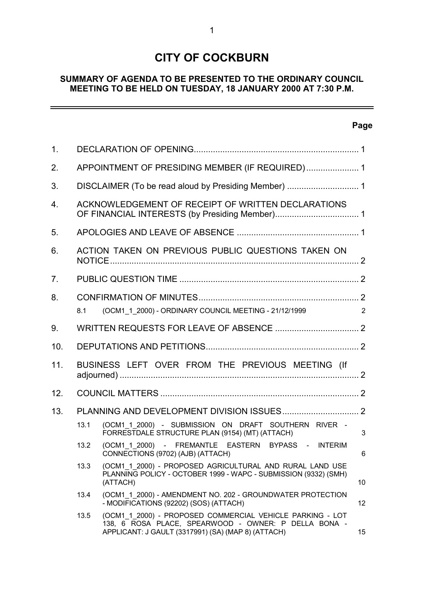## **CITY OF COCKBURN**

## **SUMMARY OF AGENDA TO BE PRESENTED TO THE ORDINARY COUNCIL MEETING TO BE HELD ON TUESDAY, 18 JANUARY 2000 AT 7:30 P.M.**

## **Page**

 $\equiv$ 

| 1 <sub>1</sub> |                                                    |                                                                                                                                                                         |    |  |
|----------------|----------------------------------------------------|-------------------------------------------------------------------------------------------------------------------------------------------------------------------------|----|--|
| 2.             | APPOINTMENT OF PRESIDING MEMBER (IF REQUIRED) 1    |                                                                                                                                                                         |    |  |
| 3.             |                                                    |                                                                                                                                                                         |    |  |
| 4.             | ACKNOWLEDGEMENT OF RECEIPT OF WRITTEN DECLARATIONS |                                                                                                                                                                         |    |  |
| 5.             |                                                    |                                                                                                                                                                         |    |  |
| 6.             |                                                    | ACTION TAKEN ON PREVIOUS PUBLIC QUESTIONS TAKEN ON                                                                                                                      |    |  |
| 7.             |                                                    |                                                                                                                                                                         |    |  |
| 8.             |                                                    |                                                                                                                                                                         |    |  |
|                | 8.1                                                | (OCM1_1_2000) - ORDINARY COUNCIL MEETING - 21/12/1999                                                                                                                   | 2  |  |
| 9.             |                                                    |                                                                                                                                                                         |    |  |
| 10.            |                                                    |                                                                                                                                                                         |    |  |
| 11.            | BUSINESS LEFT OVER FROM THE PREVIOUS MEETING (If   |                                                                                                                                                                         |    |  |
| 12.            |                                                    |                                                                                                                                                                         |    |  |
| 13.            |                                                    |                                                                                                                                                                         |    |  |
|                | 13.1                                               | (OCM1 1 2000) - SUBMISSION ON DRAFT SOUTHERN RIVER -<br>FORRESTDALE STRUCTURE PLAN (9154) (MT) (ATTACH)                                                                 | 3  |  |
|                | 13.2                                               | (OCM1 1 2000) - FREMANTLE EASTERN BYPASS - INTERIM<br>CONNECTIONS (9702) (AJB) (ATTACH)                                                                                 | 6  |  |
|                | 13.3                                               | (OCM1 1 2000) - PROPOSED AGRICULTURAL AND RURAL LAND USE<br>PLANNING POLICY - OCTOBER 1999 - WAPC - SUBMISSION (9332) (SMH)<br>(ATTACH)                                 | 10 |  |
|                | 13.4                                               | (OCM1 1 2000) - AMENDMENT NO. 202 - GROUNDWATER PROTECTION<br>- MODIFICATIONS (92202) (SOS) (ATTACH)                                                                    | 12 |  |
|                | 13.5                                               | (OCM1 1 2000) - PROPOSED COMMERCIAL VEHICLE PARKING - LOT<br>138, 6 ROSA PLACE, SPEARWOOD - OWNER: P DELLA BONA -<br>APPLICANT: J GAULT (3317991) (SA) (MAP 8) (ATTACH) | 15 |  |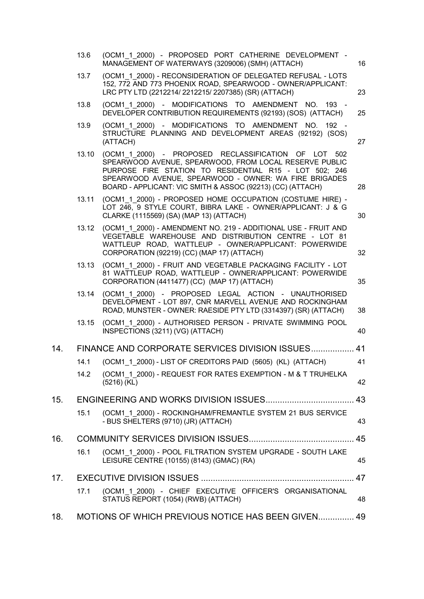|     | 13.6  | (OCM1 1 2000) - PROPOSED PORT CATHERINE DEVELOPMENT -<br>MANAGEMENT OF WATERWAYS (3209006) (SMH) (ATTACH)                                                                                                                                                                                       | 16 |
|-----|-------|-------------------------------------------------------------------------------------------------------------------------------------------------------------------------------------------------------------------------------------------------------------------------------------------------|----|
|     | 13.7  | (OCM1 1 2000) - RECONSIDERATION OF DELEGATED REFUSAL - LOTS<br>152, 772 AND 773 PHOENIX ROAD, SPEARWOOD - OWNER/APPLICANT:<br>LRC PTY LTD (2212214/2212215/2207385) (SR) (ATTACH)                                                                                                               | 23 |
|     | 13.8  | (OCM1 1 2000) - MODIFICATIONS TO AMENDMENT NO.<br>193 -<br>DEVELOPER CONTRIBUTION REQUIREMENTS (92193) (SOS) (ATTACH)                                                                                                                                                                           | 25 |
|     | 13.9  | (OCM1 1 2000) - MODIFICATIONS TO AMENDMENT NO.<br>$192 -$<br>STRUCTURE PLANNING AND DEVELOPMENT AREAS (92192) (SOS)<br>(ATTACH)                                                                                                                                                                 | 27 |
|     | 13.10 | (OCM1 1 2000) - PROPOSED RECLASSIFICATION OF LOT 502<br>SPEARWOOD AVENUE, SPEARWOOD, FROM LOCAL RESERVE PUBLIC<br>PURPOSE FIRE STATION TO RESIDENTIAL R15 - LOT 502; 246<br>SPEARWOOD AVENUE, SPEARWOOD - OWNER: WA FIRE BRIGADES<br>BOARD - APPLICANT: VIC SMITH & ASSOC (92213) (CC) (ATTACH) | 28 |
|     | 13.11 | (OCM1 1 2000) - PROPOSED HOME OCCUPATION (COSTUME HIRE) -<br>LOT 246, 9 STYLE COURT, BIBRA LAKE - OWNER/APPLICANT: J & G<br>CLARKE (1115569) (SA) (MAP 13) (ATTACH)                                                                                                                             | 30 |
|     | 13.12 | (OCM1 1 2000) - AMENDMENT NO. 219 - ADDITIONAL USE - FRUIT AND<br>VEGETABLE WAREHOUSE AND DISTRIBUTION CENTRE - LOT 81<br>WATTLEUP ROAD, WATTLEUP - OWNER/APPLICANT: POWERWIDE<br>CORPORATION (92219) (CC) (MAP 17) (ATTACH)                                                                    | 32 |
|     | 13.13 | (OCM1 1 2000) - FRUIT AND VEGETABLE PACKAGING FACILITY - LOT<br>81 WATTLEUP ROAD, WATTLEUP - OWNER/APPLICANT: POWERWIDE<br>CORPORATION (4411477) (CC) (MAP 17) (ATTACH)                                                                                                                         | 35 |
|     | 13.14 | (OCM1 1 2000) - PROPOSED LEGAL ACTION - UNAUTHORISED<br>DEVELOPMENT - LOT 897, CNR MARVELL AVENUE AND ROCKINGHAM<br>ROAD, MUNSTER - OWNER: RAESIDE PTY LTD (3314397) (SR) (ATTACH)                                                                                                              | 38 |
|     | 13.15 | (OCM1 1 2000) - AUTHORISED PERSON - PRIVATE SWIMMING POOL<br>INSPECTIONS (3211) (VG) (ATTACH)                                                                                                                                                                                                   | 40 |
| 14. |       | FINANCE AND CORPORATE SERVICES DIVISION ISSUES 41                                                                                                                                                                                                                                               |    |
|     | 14.1  | (OCM1 1 2000) - LIST OF CREDITORS PAID (5605) (KL) (ATTACH)                                                                                                                                                                                                                                     | 41 |
|     | 14.2  | (OCM1 1 2000) - REQUEST FOR RATES EXEMPTION - M & T TRUHELKA<br>$(5216)$ (KL)                                                                                                                                                                                                                   | 42 |
| 15. |       |                                                                                                                                                                                                                                                                                                 | 43 |
|     | 15.1  | (OCM1 1 2000) - ROCKINGHAM/FREMANTLE SYSTEM 21 BUS SERVICE<br>- BUS SHELTERS (9710) (JR) (ATTACH)                                                                                                                                                                                               | 43 |
| 16. |       |                                                                                                                                                                                                                                                                                                 | 45 |
|     | 16.1  | (OCM1 1 2000) - POOL FILTRATION SYSTEM UPGRADE - SOUTH LAKE<br>LEISURE CENTRE (10155) (8143) (GMAC) (RA)                                                                                                                                                                                        | 45 |
| 17. |       |                                                                                                                                                                                                                                                                                                 | 47 |
|     | 17.1  | (OCM1 1 2000) - CHIEF EXECUTIVE OFFICER'S ORGANISATIONAL<br>STATUS REPORT (1054) (RWB) (ATTACH)                                                                                                                                                                                                 | 48 |
| 18. |       | MOTIONS OF WHICH PREVIOUS NOTICE HAS BEEN GIVEN 49                                                                                                                                                                                                                                              |    |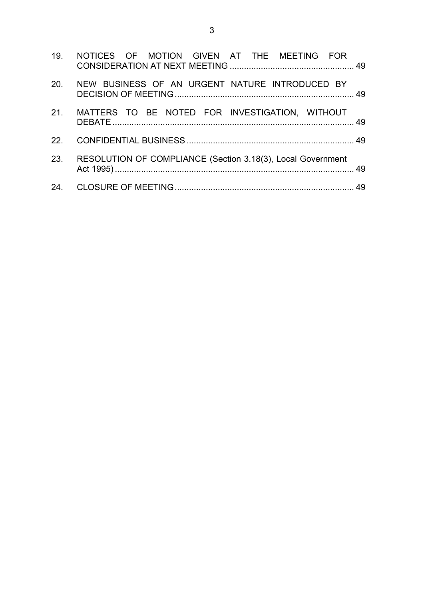| 19. NOTICES OF MOTION GIVEN AT THE MEETING FOR                  |  |
|-----------------------------------------------------------------|--|
| 20. NEW BUSINESS OF AN URGENT NATURE INTRODUCED BY              |  |
| 21. MATTERS TO BE NOTED FOR INVESTIGATION, WITHOUT              |  |
|                                                                 |  |
| 23. RESOLUTION OF COMPLIANCE (Section 3.18(3), Local Government |  |
|                                                                 |  |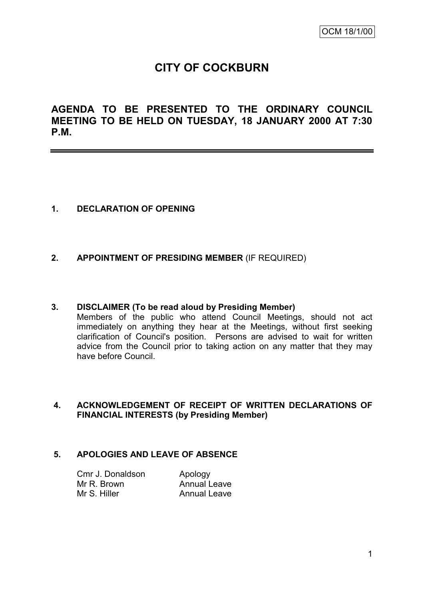## **CITY OF COCKBURN**

**AGENDA TO BE PRESENTED TO THE ORDINARY COUNCIL MEETING TO BE HELD ON TUESDAY, 18 JANUARY 2000 AT 7:30 P.M.**

## **1. DECLARATION OF OPENING**

#### **2. APPOINTMENT OF PRESIDING MEMBER** (IF REQUIRED)

#### **3. DISCLAIMER (To be read aloud by Presiding Member)**

Members of the public who attend Council Meetings, should not act immediately on anything they hear at the Meetings, without first seeking clarification of Council's position. Persons are advised to wait for written advice from the Council prior to taking action on any matter that they may have before Council.

#### **4. ACKNOWLEDGEMENT OF RECEIPT OF WRITTEN DECLARATIONS OF FINANCIAL INTERESTS (by Presiding Member)**

#### **5. APOLOGIES AND LEAVE OF ABSENCE**

| Cmr J. Donaldson | Apology             |
|------------------|---------------------|
| Mr R. Brown      | <b>Annual Leave</b> |
| Mr S. Hiller     | <b>Annual Leave</b> |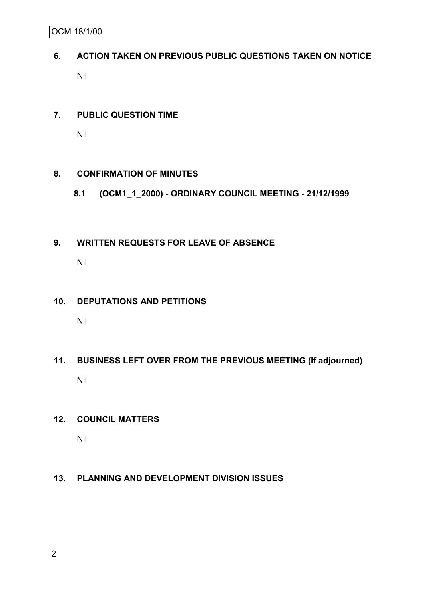OCM 18/1/00

# **6. ACTION TAKEN ON PREVIOUS PUBLIC QUESTIONS TAKEN ON NOTICE** Nil

## **7. PUBLIC QUESTION TIME**

Nil

## **8. CONFIRMATION OF MINUTES**

**8.1 (OCM1\_1\_2000) - ORDINARY COUNCIL MEETING - 21/12/1999**

## **9. WRITTEN REQUESTS FOR LEAVE OF ABSENCE**

Nil

## **10. DEPUTATIONS AND PETITIONS**

Nil

# **11. BUSINESS LEFT OVER FROM THE PREVIOUS MEETING (If adjourned)** Nil

## **12. COUNCIL MATTERS**

Nil

## **13. PLANNING AND DEVELOPMENT DIVISION ISSUES**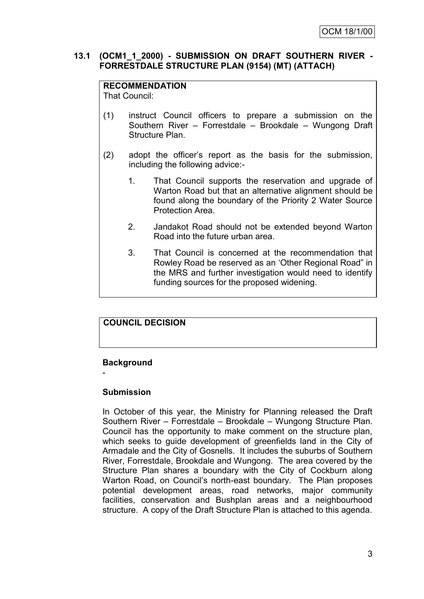#### **13.1 (OCM1\_1\_2000) - SUBMISSION ON DRAFT SOUTHERN RIVER - FORRESTDALE STRUCTURE PLAN (9154) (MT) (ATTACH)**

#### **RECOMMENDATION**

That Council:

- (1) instruct Council officers to prepare a submission on the Southern River – Forrestdale – Brookdale – Wungong Draft Structure Plan.
- (2) adopt the officer"s report as the basis for the submission, including the following advice:-
	- 1. That Council supports the reservation and upgrade of Warton Road but that an alternative alignment should be found along the boundary of the Priority 2 Water Source Protection Area.
	- 2. Jandakot Road should not be extended beyond Warton Road into the future urban area.
	- 3. That Council is concerned at the recommendation that Rowley Road be reserved as an "Other Regional Road" in the MRS and further investigation would need to identify funding sources for the proposed widening.

## **COUNCIL DECISION**

#### **Background**

-

### **Submission**

In October of this year, the Ministry for Planning released the Draft Southern River – Forrestdale – Brookdale – Wungong Structure Plan. Council has the opportunity to make comment on the structure plan, which seeks to guide development of greenfields land in the City of Armadale and the City of Gosnells. It includes the suburbs of Southern River, Forrestdale, Brookdale and Wungong. The area covered by the Structure Plan shares a boundary with the City of Cockburn along Warton Road, on Council's north-east boundary. The Plan proposes potential development areas, road networks, major community facilities, conservation and Bushplan areas and a neighbourhood structure. A copy of the Draft Structure Plan is attached to this agenda.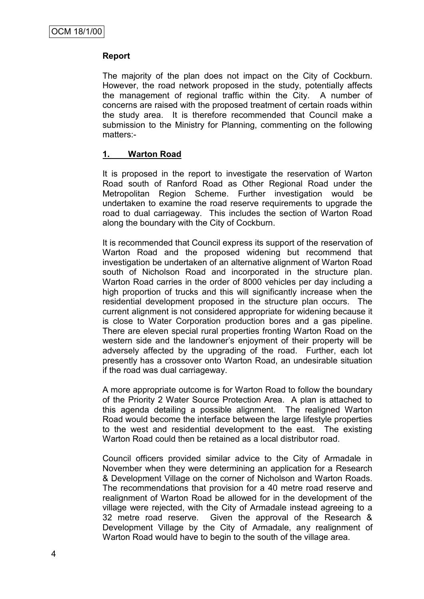#### **Report**

The majority of the plan does not impact on the City of Cockburn. However, the road network proposed in the study, potentially affects the management of regional traffic within the City. A number of concerns are raised with the proposed treatment of certain roads within the study area. It is therefore recommended that Council make a submission to the Ministry for Planning, commenting on the following matters:-

#### **1. Warton Road**

It is proposed in the report to investigate the reservation of Warton Road south of Ranford Road as Other Regional Road under the Metropolitan Region Scheme. Further investigation would be undertaken to examine the road reserve requirements to upgrade the road to dual carriageway. This includes the section of Warton Road along the boundary with the City of Cockburn.

It is recommended that Council express its support of the reservation of Warton Road and the proposed widening but recommend that investigation be undertaken of an alternative alignment of Warton Road south of Nicholson Road and incorporated in the structure plan. Warton Road carries in the order of 8000 vehicles per day including a high proportion of trucks and this will significantly increase when the residential development proposed in the structure plan occurs. The current alignment is not considered appropriate for widening because it is close to Water Corporation production bores and a gas pipeline. There are eleven special rural properties fronting Warton Road on the western side and the landowner"s enjoyment of their property will be adversely affected by the upgrading of the road. Further, each lot presently has a crossover onto Warton Road, an undesirable situation if the road was dual carriageway.

A more appropriate outcome is for Warton Road to follow the boundary of the Priority 2 Water Source Protection Area. A plan is attached to this agenda detailing a possible alignment. The realigned Warton Road would become the interface between the large lifestyle properties to the west and residential development to the east. The existing Warton Road could then be retained as a local distributor road.

Council officers provided similar advice to the City of Armadale in November when they were determining an application for a Research & Development Village on the corner of Nicholson and Warton Roads. The recommendations that provision for a 40 metre road reserve and realignment of Warton Road be allowed for in the development of the village were rejected, with the City of Armadale instead agreeing to a 32 metre road reserve. Given the approval of the Research & Development Village by the City of Armadale, any realignment of Warton Road would have to begin to the south of the village area.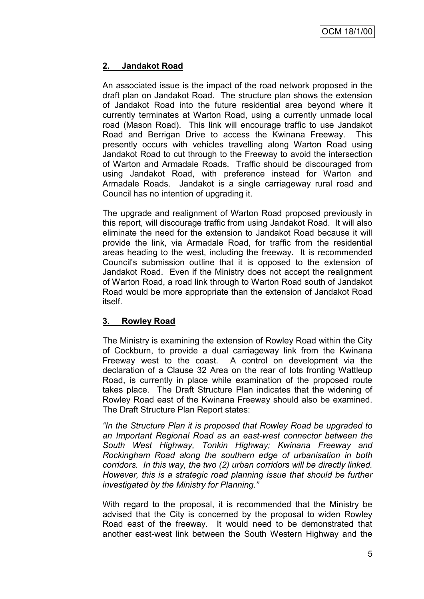## **2. Jandakot Road**

An associated issue is the impact of the road network proposed in the draft plan on Jandakot Road. The structure plan shows the extension of Jandakot Road into the future residential area beyond where it currently terminates at Warton Road, using a currently unmade local road (Mason Road). This link will encourage traffic to use Jandakot Road and Berrigan Drive to access the Kwinana Freeway. This presently occurs with vehicles travelling along Warton Road using Jandakot Road to cut through to the Freeway to avoid the intersection of Warton and Armadale Roads. Traffic should be discouraged from using Jandakot Road, with preference instead for Warton and Armadale Roads. Jandakot is a single carriageway rural road and Council has no intention of upgrading it.

The upgrade and realignment of Warton Road proposed previously in this report, will discourage traffic from using Jandakot Road. It will also eliminate the need for the extension to Jandakot Road because it will provide the link, via Armadale Road, for traffic from the residential areas heading to the west, including the freeway. It is recommended Council"s submission outline that it is opposed to the extension of Jandakot Road. Even if the Ministry does not accept the realignment of Warton Road, a road link through to Warton Road south of Jandakot Road would be more appropriate than the extension of Jandakot Road itself.

## **3. Rowley Road**

The Ministry is examining the extension of Rowley Road within the City of Cockburn, to provide a dual carriageway link from the Kwinana Freeway west to the coast. A control on development via the declaration of a Clause 32 Area on the rear of lots fronting Wattleup Road, is currently in place while examination of the proposed route takes place. The Draft Structure Plan indicates that the widening of Rowley Road east of the Kwinana Freeway should also be examined. The Draft Structure Plan Report states:

*"In the Structure Plan it is proposed that Rowley Road be upgraded to an Important Regional Road as an east-west connector between the South West Highway, Tonkin Highway; Kwinana Freeway and Rockingham Road along the southern edge of urbanisation in both corridors. In this way, the two (2) urban corridors will be directly linked. However, this is a strategic road planning issue that should be further investigated by the Ministry for Planning."*

With regard to the proposal, it is recommended that the Ministry be advised that the City is concerned by the proposal to widen Rowley Road east of the freeway. It would need to be demonstrated that another east-west link between the South Western Highway and the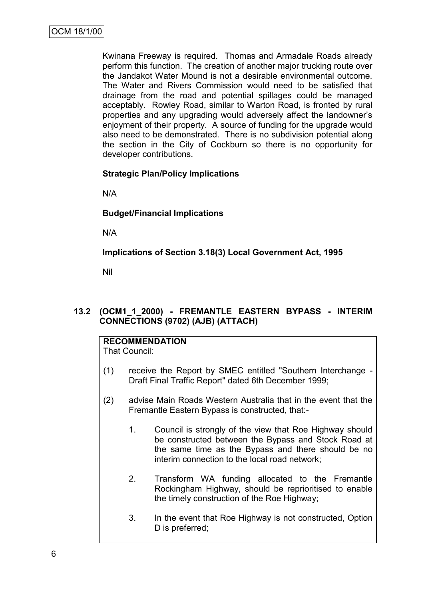Kwinana Freeway is required. Thomas and Armadale Roads already perform this function. The creation of another major trucking route over the Jandakot Water Mound is not a desirable environmental outcome. The Water and Rivers Commission would need to be satisfied that drainage from the road and potential spillages could be managed acceptably. Rowley Road, similar to Warton Road, is fronted by rural properties and any upgrading would adversely affect the landowner"s enjoyment of their property. A source of funding for the upgrade would also need to be demonstrated. There is no subdivision potential along the section in the City of Cockburn so there is no opportunity for developer contributions.

#### **Strategic Plan/Policy Implications**

N/A

#### **Budget/Financial Implications**

N/A

**Implications of Section 3.18(3) Local Government Act, 1995**

Nil

## **13.2 (OCM1\_1\_2000) - FREMANTLE EASTERN BYPASS - INTERIM CONNECTIONS (9702) (AJB) (ATTACH)**

## **RECOMMENDATION**

That Council:

- (1) receive the Report by SMEC entitled "Southern Interchange Draft Final Traffic Report" dated 6th December 1999;
- (2) advise Main Roads Western Australia that in the event that the Fremantle Eastern Bypass is constructed, that:-
	- 1. Council is strongly of the view that Roe Highway should be constructed between the Bypass and Stock Road at the same time as the Bypass and there should be no interim connection to the local road network;
	- 2. Transform WA funding allocated to the Fremantle Rockingham Highway, should be reprioritised to enable the timely construction of the Roe Highway;
	- 3. In the event that Roe Highway is not constructed, Option D is preferred;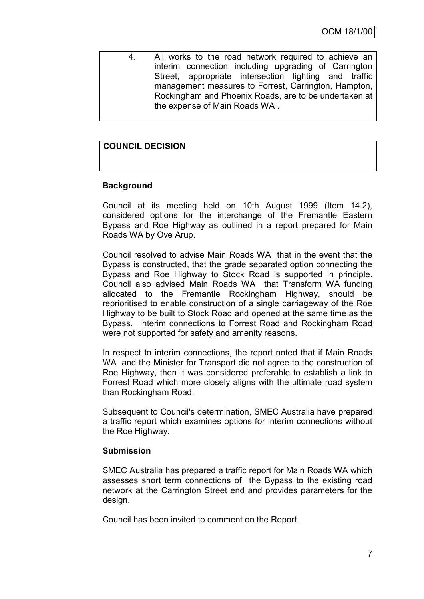4. All works to the road network required to achieve an interim connection including upgrading of Carrington Street, appropriate intersection lighting and traffic management measures to Forrest, Carrington, Hampton, Rockingham and Phoenix Roads, are to be undertaken at the expense of Main Roads WA .

## **COUNCIL DECISION**

## **Background**

Council at its meeting held on 10th August 1999 (Item 14.2), considered options for the interchange of the Fremantle Eastern Bypass and Roe Highway as outlined in a report prepared for Main Roads WA by Ove Arup.

Council resolved to advise Main Roads WA that in the event that the Bypass is constructed, that the grade separated option connecting the Bypass and Roe Highway to Stock Road is supported in principle. Council also advised Main Roads WA that Transform WA funding allocated to the Fremantle Rockingham Highway, should be reprioritised to enable construction of a single carriageway of the Roe Highway to be built to Stock Road and opened at the same time as the Bypass. Interim connections to Forrest Road and Rockingham Road were not supported for safety and amenity reasons.

In respect to interim connections, the report noted that if Main Roads WA and the Minister for Transport did not agree to the construction of Roe Highway, then it was considered preferable to establish a link to Forrest Road which more closely aligns with the ultimate road system than Rockingham Road.

Subsequent to Council's determination, SMEC Australia have prepared a traffic report which examines options for interim connections without the Roe Highway.

#### **Submission**

SMEC Australia has prepared a traffic report for Main Roads WA which assesses short term connections of the Bypass to the existing road network at the Carrington Street end and provides parameters for the design.

Council has been invited to comment on the Report.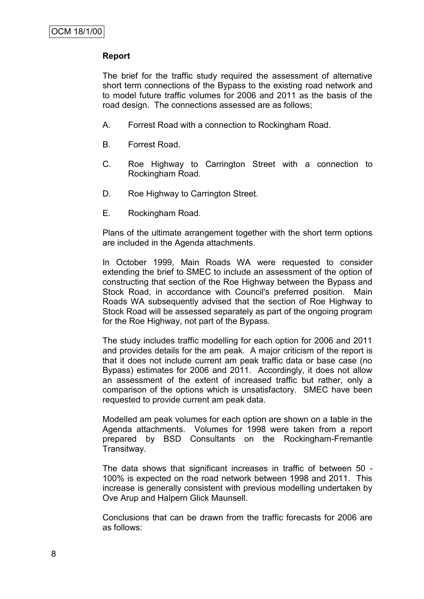#### **Report**

The brief for the traffic study required the assessment of alternative short term connections of the Bypass to the existing road network and to model future traffic volumes for 2006 and 2011 as the basis of the road design. The connections assessed are as follows;

- A. Forrest Road with a connection to Rockingham Road.
- B. Forrest Road.
- C. Roe Highway to Carrington Street with a connection to Rockingham Road.
- D. Roe Highway to Carrington Street.
- E. Rockingham Road.

Plans of the ultimate arrangement together with the short term options are included in the Agenda attachments.

In October 1999, Main Roads WA were requested to consider extending the brief to SMEC to include an assessment of the option of constructing that section of the Roe Highway between the Bypass and Stock Road, in accordance with Council's preferred position. Main Roads WA subsequently advised that the section of Roe Highway to Stock Road will be assessed separately as part of the ongoing program for the Roe Highway, not part of the Bypass.

The study includes traffic modelling for each option for 2006 and 2011 and provides details for the am peak. A major criticism of the report is that it does not include current am peak traffic data or base case (no Bypass) estimates for 2006 and 2011. Accordingly, it does not allow an assessment of the extent of increased traffic but rather, only a comparison of the options which is unsatisfactory. SMEC have been requested to provide current am peak data.

Modelled am peak volumes for each option are shown on a table in the Agenda attachments. Volumes for 1998 were taken from a report prepared by BSD Consultants on the Rockingham-Fremantle Transitway.

The data shows that significant increases in traffic of between 50 - 100% is expected on the road network between 1998 and 2011. This increase is generally consistent with previous modelling undertaken by Ove Arup and Halpern Glick Maunsell.

Conclusions that can be drawn from the traffic forecasts for 2006 are as follows: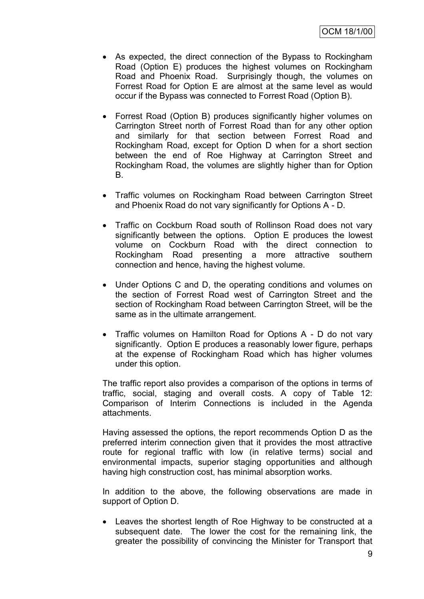- As expected, the direct connection of the Bypass to Rockingham Road (Option E) produces the highest volumes on Rockingham Road and Phoenix Road. Surprisingly though, the volumes on Forrest Road for Option E are almost at the same level as would occur if the Bypass was connected to Forrest Road (Option B).
- Forrest Road (Option B) produces significantly higher volumes on Carrington Street north of Forrest Road than for any other option and similarly for that section between Forrest Road and Rockingham Road, except for Option D when for a short section between the end of Roe Highway at Carrington Street and Rockingham Road, the volumes are slightly higher than for Option B.
- Traffic volumes on Rockingham Road between Carrington Street and Phoenix Road do not vary significantly for Options A - D.
- Traffic on Cockburn Road south of Rollinson Road does not vary significantly between the options. Option E produces the lowest volume on Cockburn Road with the direct connection to Rockingham Road presenting a more attractive southern connection and hence, having the highest volume.
- Under Options C and D, the operating conditions and volumes on the section of Forrest Road west of Carrington Street and the section of Rockingham Road between Carrington Street, will be the same as in the ultimate arrangement.
- Traffic volumes on Hamilton Road for Options A D do not vary significantly. Option E produces a reasonably lower figure, perhaps at the expense of Rockingham Road which has higher volumes under this option.

The traffic report also provides a comparison of the options in terms of traffic, social, staging and overall costs. A copy of Table 12: Comparison of Interim Connections is included in the Agenda attachments.

Having assessed the options, the report recommends Option D as the preferred interim connection given that it provides the most attractive route for regional traffic with low (in relative terms) social and environmental impacts, superior staging opportunities and although having high construction cost, has minimal absorption works.

In addition to the above, the following observations are made in support of Option D.

 Leaves the shortest length of Roe Highway to be constructed at a subsequent date. The lower the cost for the remaining link, the greater the possibility of convincing the Minister for Transport that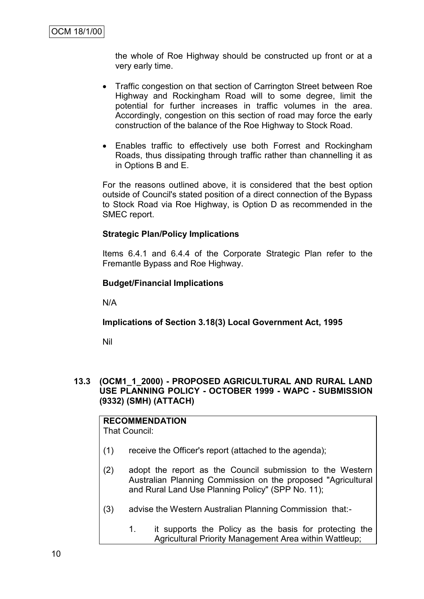the whole of Roe Highway should be constructed up front or at a very early time.

- Traffic congestion on that section of Carrington Street between Roe Highway and Rockingham Road will to some degree, limit the potential for further increases in traffic volumes in the area. Accordingly, congestion on this section of road may force the early construction of the balance of the Roe Highway to Stock Road.
- Enables traffic to effectively use both Forrest and Rockingham Roads, thus dissipating through traffic rather than channelling it as in Options B and E.

For the reasons outlined above, it is considered that the best option outside of Council's stated position of a direct connection of the Bypass to Stock Road via Roe Highway, is Option D as recommended in the SMEC report.

#### **Strategic Plan/Policy Implications**

Items 6.4.1 and 6.4.4 of the Corporate Strategic Plan refer to the Fremantle Bypass and Roe Highway.

#### **Budget/Financial Implications**

N/A

#### **Implications of Section 3.18(3) Local Government Act, 1995**

Nil

#### **13.3 (OCM1\_1\_2000) - PROPOSED AGRICULTURAL AND RURAL LAND USE PLANNING POLICY - OCTOBER 1999 - WAPC - SUBMISSION (9332) (SMH) (ATTACH)**

#### **RECOMMENDATION** That Council:

- (1) receive the Officer's report (attached to the agenda);
- (2) adopt the report as the Council submission to the Western Australian Planning Commission on the proposed "Agricultural and Rural Land Use Planning Policy" (SPP No. 11);
- (3) advise the Western Australian Planning Commission that:-
	- 1. it supports the Policy as the basis for protecting the Agricultural Priority Management Area within Wattleup;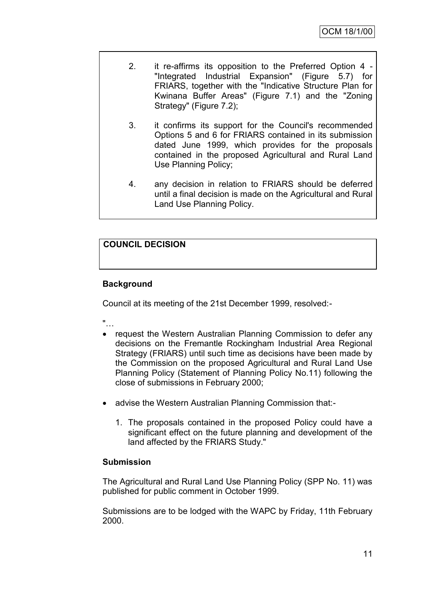- 2. it re-affirms its opposition to the Preferred Option 4 "Integrated Industrial Expansion" (Figure 5.7) for FRIARS, together with the "Indicative Structure Plan for Kwinana Buffer Areas" (Figure 7.1) and the "Zoning Strategy" (Figure 7.2);
- 3. it confirms its support for the Council's recommended Options 5 and 6 for FRIARS contained in its submission dated June 1999, which provides for the proposals contained in the proposed Agricultural and Rural Land Use Planning Policy;
- 4. any decision in relation to FRIARS should be deferred until a final decision is made on the Agricultural and Rural Land Use Planning Policy.

## **COUNCIL DECISION**

## **Background**

Council at its meeting of the 21st December 1999, resolved:-

"…

- request the Western Australian Planning Commission to defer any decisions on the Fremantle Rockingham Industrial Area Regional Strategy (FRIARS) until such time as decisions have been made by the Commission on the proposed Agricultural and Rural Land Use Planning Policy (Statement of Planning Policy No.11) following the close of submissions in February 2000;
- advise the Western Australian Planning Commission that:-
	- 1. The proposals contained in the proposed Policy could have a significant effect on the future planning and development of the land affected by the FRIARS Study."

#### **Submission**

The Agricultural and Rural Land Use Planning Policy (SPP No. 11) was published for public comment in October 1999.

Submissions are to be lodged with the WAPC by Friday, 11th February 2000.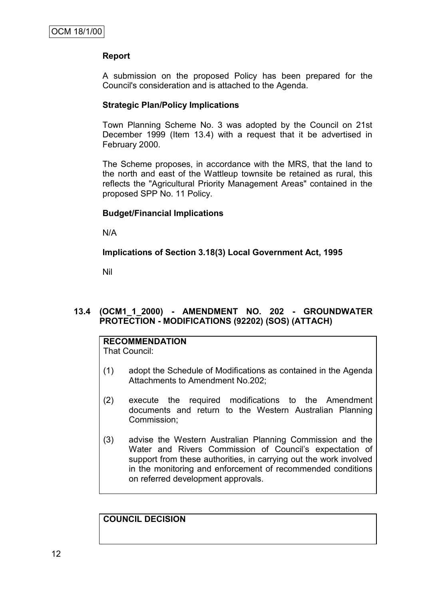#### **Report**

A submission on the proposed Policy has been prepared for the Council's consideration and is attached to the Agenda.

#### **Strategic Plan/Policy Implications**

Town Planning Scheme No. 3 was adopted by the Council on 21st December 1999 (Item 13.4) with a request that it be advertised in February 2000.

The Scheme proposes, in accordance with the MRS, that the land to the north and east of the Wattleup townsite be retained as rural, this reflects the "Agricultural Priority Management Areas" contained in the proposed SPP No. 11 Policy.

#### **Budget/Financial Implications**

N/A

**Implications of Section 3.18(3) Local Government Act, 1995**

Nil

#### **13.4 (OCM1\_1\_2000) - AMENDMENT NO. 202 - GROUNDWATER PROTECTION - MODIFICATIONS (92202) (SOS) (ATTACH)**

## **RECOMMENDATION**

That Council:

- (1) adopt the Schedule of Modifications as contained in the Agenda Attachments to Amendment No.202;
- (2) execute the required modifications to the Amendment documents and return to the Western Australian Planning Commission;
- (3) advise the Western Australian Planning Commission and the Water and Rivers Commission of Council's expectation of support from these authorities, in carrying out the work involved in the monitoring and enforcement of recommended conditions on referred development approvals.

**COUNCIL DECISION**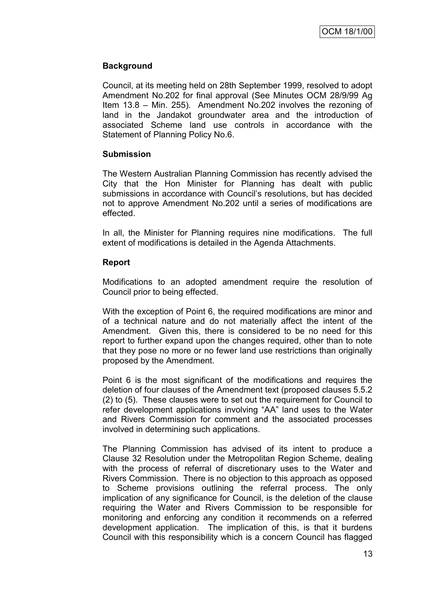## **Background**

Council, at its meeting held on 28th September 1999, resolved to adopt Amendment No.202 for final approval (See Minutes OCM 28/9/99 Ag Item 13.8 – Min. 255). Amendment No.202 involves the rezoning of land in the Jandakot groundwater area and the introduction of associated Scheme land use controls in accordance with the Statement of Planning Policy No.6.

#### **Submission**

The Western Australian Planning Commission has recently advised the City that the Hon Minister for Planning has dealt with public submissions in accordance with Council's resolutions, but has decided not to approve Amendment No.202 until a series of modifications are effected.

In all, the Minister for Planning requires nine modifications. The full extent of modifications is detailed in the Agenda Attachments.

#### **Report**

Modifications to an adopted amendment require the resolution of Council prior to being effected.

With the exception of Point 6, the required modifications are minor and of a technical nature and do not materially affect the intent of the Amendment. Given this, there is considered to be no need for this report to further expand upon the changes required, other than to note that they pose no more or no fewer land use restrictions than originally proposed by the Amendment.

Point 6 is the most significant of the modifications and requires the deletion of four clauses of the Amendment text (proposed clauses 5.5.2 (2) to (5). These clauses were to set out the requirement for Council to refer development applications involving "AA" land uses to the Water and Rivers Commission for comment and the associated processes involved in determining such applications.

The Planning Commission has advised of its intent to produce a Clause 32 Resolution under the Metropolitan Region Scheme, dealing with the process of referral of discretionary uses to the Water and Rivers Commission. There is no objection to this approach as opposed to Scheme provisions outlining the referral process. The only implication of any significance for Council, is the deletion of the clause requiring the Water and Rivers Commission to be responsible for monitoring and enforcing any condition it recommends on a referred development application. The implication of this, is that it burdens Council with this responsibility which is a concern Council has flagged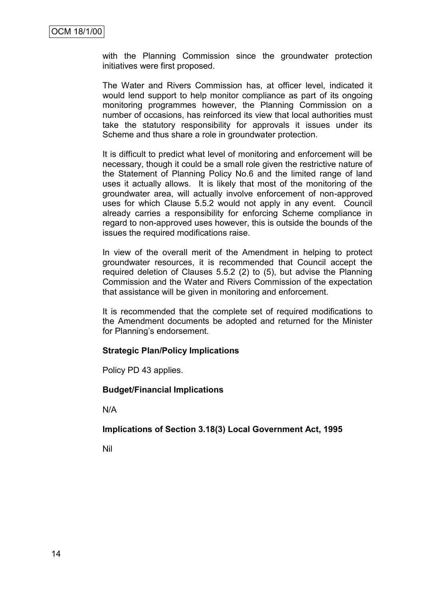with the Planning Commission since the groundwater protection initiatives were first proposed.

The Water and Rivers Commission has, at officer level, indicated it would lend support to help monitor compliance as part of its ongoing monitoring programmes however, the Planning Commission on a number of occasions, has reinforced its view that local authorities must take the statutory responsibility for approvals it issues under its Scheme and thus share a role in groundwater protection.

It is difficult to predict what level of monitoring and enforcement will be necessary, though it could be a small role given the restrictive nature of the Statement of Planning Policy No.6 and the limited range of land uses it actually allows. It is likely that most of the monitoring of the groundwater area, will actually involve enforcement of non-approved uses for which Clause 5.5.2 would not apply in any event. Council already carries a responsibility for enforcing Scheme compliance in regard to non-approved uses however, this is outside the bounds of the issues the required modifications raise.

In view of the overall merit of the Amendment in helping to protect groundwater resources, it is recommended that Council accept the required deletion of Clauses 5.5.2 (2) to (5), but advise the Planning Commission and the Water and Rivers Commission of the expectation that assistance will be given in monitoring and enforcement.

It is recommended that the complete set of required modifications to the Amendment documents be adopted and returned for the Minister for Planning's endorsement.

#### **Strategic Plan/Policy Implications**

Policy PD 43 applies.

#### **Budget/Financial Implications**

N/A

#### **Implications of Section 3.18(3) Local Government Act, 1995**

Nil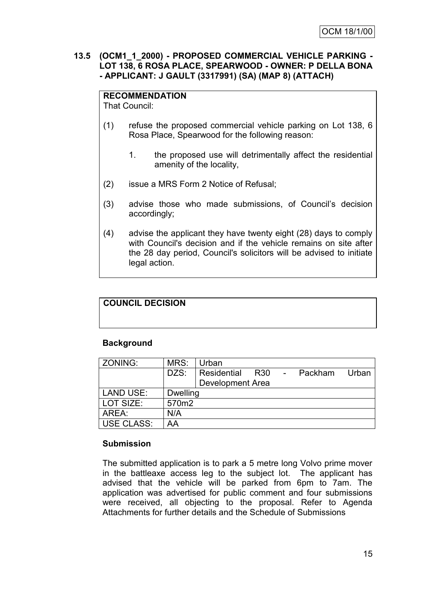#### **13.5 (OCM1\_1\_2000) - PROPOSED COMMERCIAL VEHICLE PARKING - LOT 138, 6 ROSA PLACE, SPEARWOOD - OWNER: P DELLA BONA - APPLICANT: J GAULT (3317991) (SA) (MAP 8) (ATTACH)**

## **RECOMMENDATION**

That Council:

- (1) refuse the proposed commercial vehicle parking on Lot 138, 6 Rosa Place, Spearwood for the following reason:
	- 1. the proposed use will detrimentally affect the residential amenity of the locality,
- (2) issue a MRS Form 2 Notice of Refusal;
- (3) advise those who made submissions, of Council"s decision accordingly;
- (4) advise the applicant they have twenty eight (28) days to comply with Council's decision and if the vehicle remains on site after the 28 day period, Council's solicitors will be advised to initiate legal action.

## **COUNCIL DECISION**

## **Background**

| ZONING:           | MRS:            | Urban                                                                 |
|-------------------|-----------------|-----------------------------------------------------------------------|
|                   | DZS:            | Residential<br>Packham<br>R <sub>30</sub><br>Urban<br>$\sim 10^{-10}$ |
|                   |                 | <b>Development Area</b>                                               |
| <b>LAND USE:</b>  | <b>Dwelling</b> |                                                                       |
| LOT SIZE:         | 570m2           |                                                                       |
| AREA:             | N/A             |                                                                       |
| <b>USE CLASS:</b> | AA              |                                                                       |

## **Submission**

The submitted application is to park a 5 metre long Volvo prime mover in the battleaxe access leg to the subject lot. The applicant has advised that the vehicle will be parked from 6pm to 7am. The application was advertised for public comment and four submissions were received, all objecting to the proposal. Refer to Agenda Attachments for further details and the Schedule of Submissions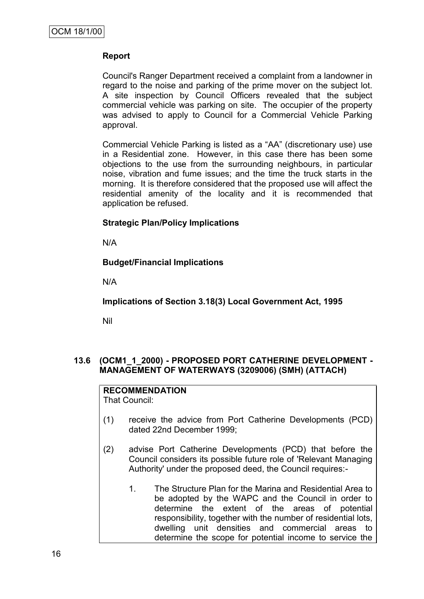#### **Report**

Council's Ranger Department received a complaint from a landowner in regard to the noise and parking of the prime mover on the subject lot. A site inspection by Council Officers revealed that the subject commercial vehicle was parking on site. The occupier of the property was advised to apply to Council for a Commercial Vehicle Parking approval.

Commercial Vehicle Parking is listed as a "AA" (discretionary use) use in a Residential zone. However, in this case there has been some objections to the use from the surrounding neighbours, in particular noise, vibration and fume issues; and the time the truck starts in the morning. It is therefore considered that the proposed use will affect the residential amenity of the locality and it is recommended that application be refused.

#### **Strategic Plan/Policy Implications**

N/A

#### **Budget/Financial Implications**

N/A

**Implications of Section 3.18(3) Local Government Act, 1995**

Nil

#### **13.6 (OCM1\_1\_2000) - PROPOSED PORT CATHERINE DEVELOPMENT - MANAGEMENT OF WATERWAYS (3209006) (SMH) (ATTACH)**

**RECOMMENDATION** That Council:

- (1) receive the advice from Port Catherine Developments (PCD) dated 22nd December 1999;
- (2) advise Port Catherine Developments (PCD) that before the Council considers its possible future role of 'Relevant Managing Authority' under the proposed deed, the Council requires:-
	- 1. The Structure Plan for the Marina and Residential Area to be adopted by the WAPC and the Council in order to determine the extent of the areas of potential responsibility, together with the number of residential lots, dwelling unit densities and commercial areas to determine the scope for potential income to service the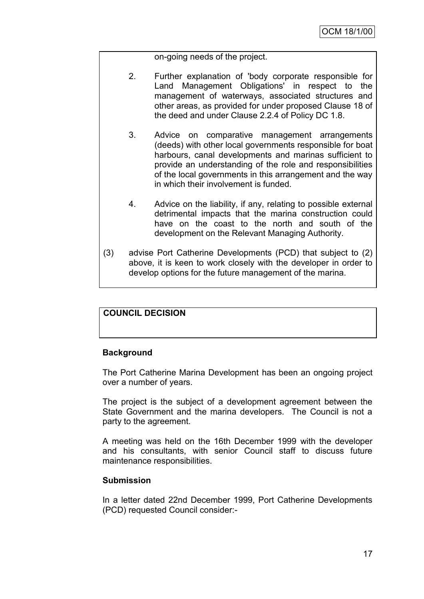on-going needs of the project.

- 2. Further explanation of 'body corporate responsible for Land Management Obligations' in respect to the management of waterways, associated structures and other areas, as provided for under proposed Clause 18 of the deed and under Clause 2.2.4 of Policy DC 1.8.
- 3. Advice on comparative management arrangements (deeds) with other local governments responsible for boat harbours, canal developments and marinas sufficient to provide an understanding of the role and responsibilities of the local governments in this arrangement and the way in which their involvement is funded.
- 4. Advice on the liability, if any, relating to possible external detrimental impacts that the marina construction could have on the coast to the north and south of the development on the Relevant Managing Authority.
- (3) advise Port Catherine Developments (PCD) that subject to (2) above, it is keen to work closely with the developer in order to develop options for the future management of the marina.

#### **COUNCIL DECISION**

#### **Background**

The Port Catherine Marina Development has been an ongoing project over a number of years.

The project is the subject of a development agreement between the State Government and the marina developers. The Council is not a party to the agreement.

A meeting was held on the 16th December 1999 with the developer and his consultants, with senior Council staff to discuss future maintenance responsibilities.

#### **Submission**

In a letter dated 22nd December 1999, Port Catherine Developments (PCD) requested Council consider:-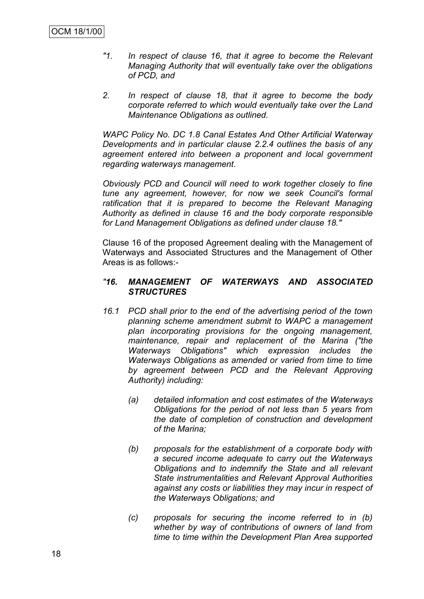- *"1. In respect of clause 16, that it agree to become the Relevant Managing Authority that will eventually take over the obligations of PCD, and*
- *2. In respect of clause 18, that it agree to become the body corporate referred to which would eventually take over the Land Maintenance Obligations as outlined.*

*WAPC Policy No. DC 1.8 Canal Estates And Other Artificial Waterway Developments and in particular clause 2.2.4 outlines the basis of any agreement entered into between a proponent and local government regarding waterways management.*

*Obviously PCD and Council will need to work together closely to fine tune any agreement, however, for now we seek Council's formal*  ratification that it is prepared to become the Relevant Managing *Authority as defined in clause 16 and the body corporate responsible for Land Management Obligations as defined under clause 18."*

Clause 16 of the proposed Agreement dealing with the Management of Waterways and Associated Structures and the Management of Other Areas is as follows:-

#### *"16. MANAGEMENT OF WATERWAYS AND ASSOCIATED STRUCTURES*

- *16.1 PCD shall prior to the end of the advertising period of the town planning scheme amendment submit to WAPC a management plan incorporating provisions for the ongoing management, maintenance, repair and replacement of the Marina ("the Waterways Obligations" which expression includes the Waterways Obligations as amended or varied from time to time by agreement between PCD and the Relevant Approving Authority) including:*
	- *(a) detailed information and cost estimates of the Waterways Obligations for the period of not less than 5 years from the date of completion of construction and development of the Marina;*
	- *(b) proposals for the establishment of a corporate body with a secured income adequate to carry out the Waterways Obligations and to indemnify the State and all relevant State instrumentalities and Relevant Approval Authorities against any costs or liabilities they may incur in respect of the Waterways Obligations; and*
	- *(c) proposals for securing the income referred to in (b) whether by way of contributions of owners of land from time to time within the Development Plan Area supported*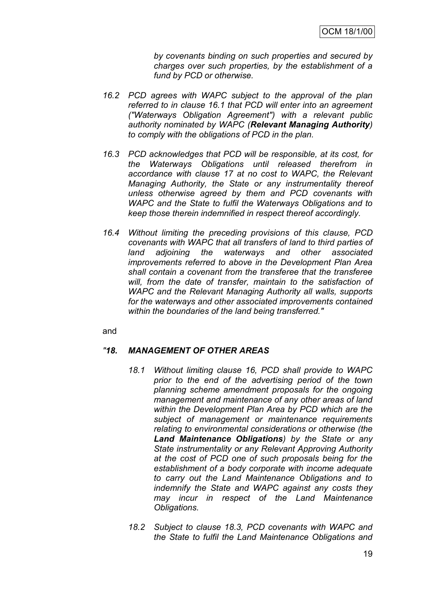*by covenants binding on such properties and secured by charges over such properties, by the establishment of a fund by PCD or otherwise.*

- *16.2 PCD agrees with WAPC subject to the approval of the plan referred to in clause 16.1 that PCD will enter into an agreement ("Waterways Obligation Agreement") with a relevant public authority nominated by WAPC (Relevant Managing Authority) to comply with the obligations of PCD in the plan.*
- *16.3 PCD acknowledges that PCD will be responsible, at its cost, for the Waterways Obligations until released therefrom in accordance with clause 17 at no cost to WAPC, the Relevant Managing Authority, the State or any instrumentality thereof unless otherwise agreed by them and PCD covenants with WAPC and the State to fulfil the Waterways Obligations and to keep those therein indemnified in respect thereof accordingly.*
- *16.4 Without limiting the preceding provisions of this clause, PCD covenants with WAPC that all transfers of land to third parties of land adjoining the waterways and other associated improvements referred to above in the Development Plan Area shall contain a covenant from the transferee that the transferee will, from the date of transfer, maintain to the satisfaction of WAPC and the Relevant Managing Authority all walls, supports for the waterways and other associated improvements contained within the boundaries of the land being transferred."*

and

#### *"18. MANAGEMENT OF OTHER AREAS*

- *18.1 Without limiting clause 16, PCD shall provide to WAPC prior to the end of the advertising period of the town planning scheme amendment proposals for the ongoing management and maintenance of any other areas of land within the Development Plan Area by PCD which are the subject of management or maintenance requirements relating to environmental considerations or otherwise (the Land Maintenance Obligations) by the State or any State instrumentality or any Relevant Approving Authority at the cost of PCD one of such proposals being for the establishment of a body corporate with income adequate to carry out the Land Maintenance Obligations and to indemnify the State and WAPC against any costs they may incur in respect of the Land Maintenance Obligations.*
- *18.2 Subject to clause 18.3, PCD covenants with WAPC and the State to fulfil the Land Maintenance Obligations and*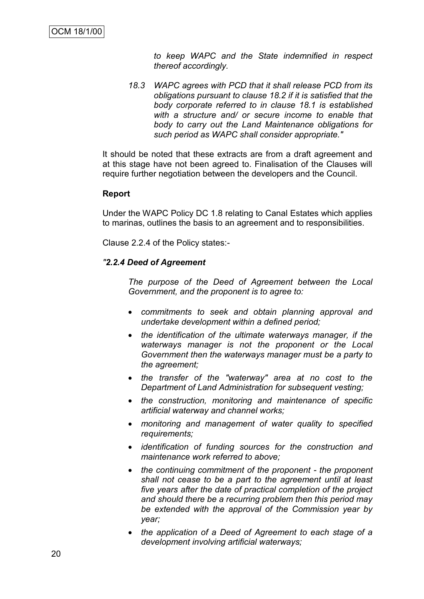*to keep WAPC and the State indemnified in respect thereof accordingly.*

*18.3 WAPC agrees with PCD that it shall release PCD from its obligations pursuant to clause 18.2 if it is satisfied that the body corporate referred to in clause 18.1 is established with a structure and/ or secure income to enable that body to carry out the Land Maintenance obligations for such period as WAPC shall consider appropriate."*

It should be noted that these extracts are from a draft agreement and at this stage have not been agreed to. Finalisation of the Clauses will require further negotiation between the developers and the Council.

#### **Report**

Under the WAPC Policy DC 1.8 relating to Canal Estates which applies to marinas, outlines the basis to an agreement and to responsibilities.

Clause 2.2.4 of the Policy states:-

#### *"2.2.4 Deed of Agreement*

*The purpose of the Deed of Agreement between the Local Government, and the proponent is to agree to:*

- *commitments to seek and obtain planning approval and undertake development within a defined period;*
- *the identification of the ultimate waterways manager, if the waterways manager is not the proponent or the Local Government then the waterways manager must be a party to the agreement;*
- *the transfer of the "waterway" area at no cost to the Department of Land Administration for subsequent vesting;*
- *the construction, monitoring and maintenance of specific artificial waterway and channel works;*
- *monitoring and management of water quality to specified requirements;*
- *identification of funding sources for the construction and maintenance work referred to above;*
- *the continuing commitment of the proponent - the proponent shall not cease to be a part to the agreement until at least five years after the date of practical completion of the project and should there be a recurring problem then this period may be extended with the approval of the Commission year by year;*
- *the application of a Deed of Agreement to each stage of a development involving artificial waterways;*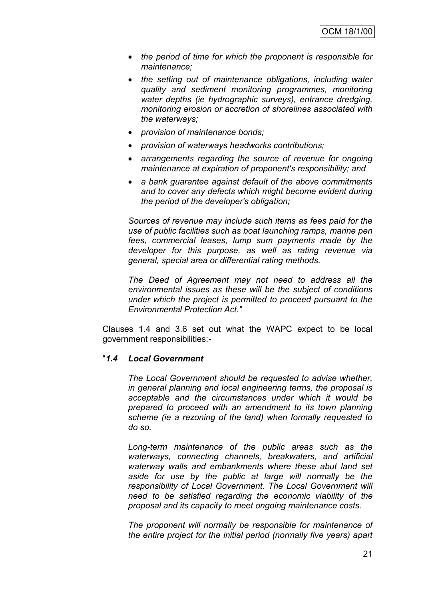- *the period of time for which the proponent is responsible for maintenance;*
- *the setting out of maintenance obligations, including water quality and sediment monitoring programmes, monitoring water depths (ie hydrographic surveys), entrance dredging, monitoring erosion or accretion of shorelines associated with the waterways;*
- *provision of maintenance bonds;*
- *provision of waterways headworks contributions;*
- *arrangements regarding the source of revenue for ongoing maintenance at expiration of proponent's responsibility; and*
- *a bank guarantee against default of the above commitments and to cover any defects which might become evident during the period of the developer's obligation;*

*Sources of revenue may include such items as fees paid for the use of public facilities such as boat launching ramps, marine pen fees, commercial leases, lump sum payments made by the developer for this purpose, as well as rating revenue via general, special area or differential rating methods.*

*The Deed of Agreement may not need to address all the environmental issues as these will be the subject of conditions under which the project is permitted to proceed pursuant to the Environmental Protection Act."*

Clauses 1.4 and 3.6 set out what the WAPC expect to be local government responsibilities:-

#### "*1.4 Local Government*

*The Local Government should be requested to advise whether, in general planning and local engineering terms, the proposal is acceptable and the circumstances under which it would be prepared to proceed with an amendment to its town planning scheme (ie a rezoning of the land) when formally requested to do so.*

*Long-term maintenance of the public areas such as the waterways, connecting channels, breakwaters, and artificial waterway walls and embankments where these abut land set aside for use by the public at large will normally be the responsibility of Local Government. The Local Government will need to be satisfied regarding the economic viability of the proposal and its capacity to meet ongoing maintenance costs.*

*The proponent will normally be responsible for maintenance of the entire project for the initial period (normally five years) apart*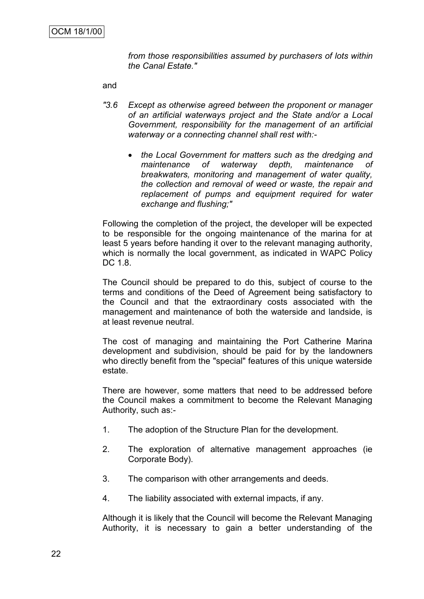*from those responsibilities assumed by purchasers of lots within the Canal Estate."*

and

- *"3.6 Except as otherwise agreed between the proponent or manager of an artificial waterways project and the State and/or a Local Government, responsibility for the management of an artificial waterway or a connecting channel shall rest with:*
	- *the Local Government for matters such as the dredging and maintenance of waterway depth, maintenance of breakwaters, monitoring and management of water quality, the collection and removal of weed or waste, the repair and replacement of pumps and equipment required for water exchange and flushing;"*

Following the completion of the project, the developer will be expected to be responsible for the ongoing maintenance of the marina for at least 5 years before handing it over to the relevant managing authority, which is normally the local government, as indicated in WAPC Policy DC 1.8.

The Council should be prepared to do this, subject of course to the terms and conditions of the Deed of Agreement being satisfactory to the Council and that the extraordinary costs associated with the management and maintenance of both the waterside and landside, is at least revenue neutral.

The cost of managing and maintaining the Port Catherine Marina development and subdivision, should be paid for by the landowners who directly benefit from the "special" features of this unique waterside estate.

There are however, some matters that need to be addressed before the Council makes a commitment to become the Relevant Managing Authority, such as:-

- 1. The adoption of the Structure Plan for the development.
- 2. The exploration of alternative management approaches (ie Corporate Body).
- 3. The comparison with other arrangements and deeds.
- 4. The liability associated with external impacts, if any.

Although it is likely that the Council will become the Relevant Managing Authority, it is necessary to gain a better understanding of the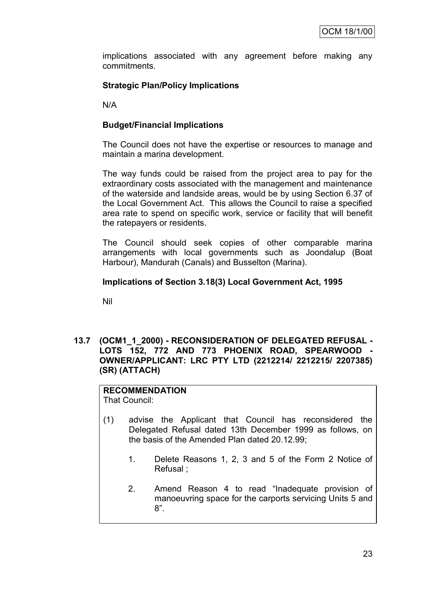implications associated with any agreement before making any commitments.

## **Strategic Plan/Policy Implications**

N/A

## **Budget/Financial Implications**

The Council does not have the expertise or resources to manage and maintain a marina development.

The way funds could be raised from the project area to pay for the extraordinary costs associated with the management and maintenance of the waterside and landside areas, would be by using Section 6.37 of the Local Government Act. This allows the Council to raise a specified area rate to spend on specific work, service or facility that will benefit the ratepayers or residents.

The Council should seek copies of other comparable marina arrangements with local governments such as Joondalup (Boat Harbour), Mandurah (Canals) and Busselton (Marina).

#### **Implications of Section 3.18(3) Local Government Act, 1995**

Nil

**13.7 (OCM1\_1\_2000) - RECONSIDERATION OF DELEGATED REFUSAL -** LOTS 152, 772 AND 773 PHOENIX ROAD, SPEARWOOD **OWNER/APPLICANT: LRC PTY LTD (2212214/ 2212215/ 2207385) (SR) (ATTACH)**

#### **RECOMMENDATION** That Council:

(1) advise the Applicant that Council has reconsidered the Delegated Refusal dated 13th December 1999 as follows, on the basis of the Amended Plan dated 20.12.99;

- 1. Delete Reasons 1, 2, 3 and 5 of the Form 2 Notice of Refusal ;
- 2. Amend Reason 4 to read "Inadequate provision of manoeuvring space for the carports servicing Units 5 and 8".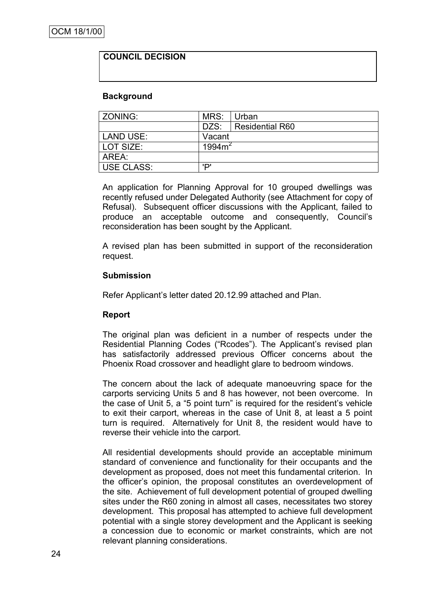#### **COUNCIL DECISION**

#### **Background**

| <b>ZONING:</b>    | MRS:               | Urban           |  |
|-------------------|--------------------|-----------------|--|
|                   | DZS:               | Residential R60 |  |
| LAND USE:         | Vacant             |                 |  |
| LOT SIZE:         | 1994m <sup>2</sup> |                 |  |
| AREA:             |                    |                 |  |
| <b>USE CLASS:</b> | ירי                |                 |  |

An application for Planning Approval for 10 grouped dwellings was recently refused under Delegated Authority (see Attachment for copy of Refusal). Subsequent officer discussions with the Applicant, failed to produce an acceptable outcome and consequently, Council"s reconsideration has been sought by the Applicant.

A revised plan has been submitted in support of the reconsideration request.

#### **Submission**

Refer Applicant"s letter dated 20.12.99 attached and Plan.

#### **Report**

The original plan was deficient in a number of respects under the Residential Planning Codes ("Rcodes"). The Applicant's revised plan has satisfactorily addressed previous Officer concerns about the Phoenix Road crossover and headlight glare to bedroom windows.

The concern about the lack of adequate manoeuvring space for the carports servicing Units 5 and 8 has however, not been overcome. In the case of Unit 5, a "5 point turn" is required for the resident"s vehicle to exit their carport, whereas in the case of Unit 8, at least a 5 point turn is required. Alternatively for Unit 8, the resident would have to reverse their vehicle into the carport.

All residential developments should provide an acceptable minimum standard of convenience and functionality for their occupants and the development as proposed, does not meet this fundamental criterion. In the officer"s opinion, the proposal constitutes an overdevelopment of the site. Achievement of full development potential of grouped dwelling sites under the R60 zoning in almost all cases, necessitates two storey development. This proposal has attempted to achieve full development potential with a single storey development and the Applicant is seeking a concession due to economic or market constraints, which are not relevant planning considerations.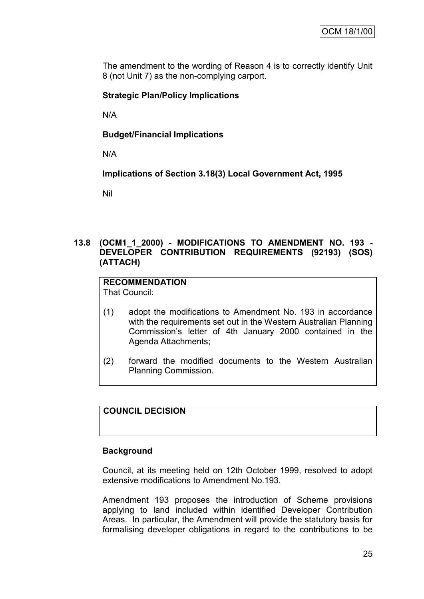The amendment to the wording of Reason 4 is to correctly identify Unit 8 (not Unit 7) as the non-complying carport.

#### **Strategic Plan/Policy Implications**

N/A

#### **Budget/Financial Implications**

N/A

**Implications of Section 3.18(3) Local Government Act, 1995**

Nil

#### **13.8 (OCM1\_1\_2000) - MODIFICATIONS TO AMENDMENT NO. 193 - DEVELOPER CONTRIBUTION REQUIREMENTS (92193) (SOS) (ATTACH)**

## **RECOMMENDATION**

That Council:

- (1) adopt the modifications to Amendment No. 193 in accordance with the requirements set out in the Western Australian Planning Commission"s letter of 4th January 2000 contained in the Agenda Attachments;
- (2) forward the modified documents to the Western Australian Planning Commission.

## **COUNCIL DECISION**

#### **Background**

Council, at its meeting held on 12th October 1999, resolved to adopt extensive modifications to Amendment No.193.

Amendment 193 proposes the introduction of Scheme provisions applying to land included within identified Developer Contribution Areas. In particular, the Amendment will provide the statutory basis for formalising developer obligations in regard to the contributions to be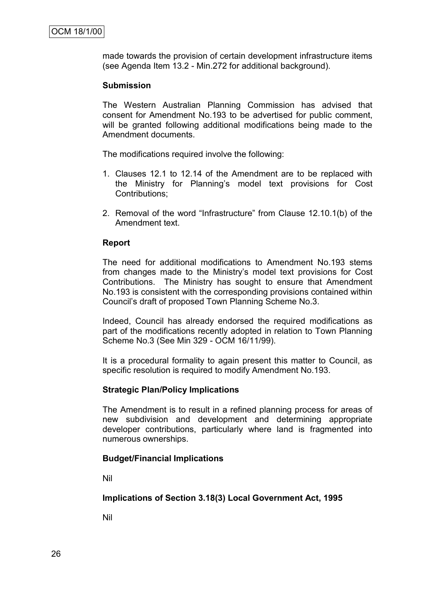made towards the provision of certain development infrastructure items (see Agenda Item 13.2 - Min.272 for additional background).

#### **Submission**

The Western Australian Planning Commission has advised that consent for Amendment No.193 to be advertised for public comment, will be granted following additional modifications being made to the Amendment documents.

The modifications required involve the following:

- 1. Clauses 12.1 to 12.14 of the Amendment are to be replaced with the Ministry for Planning"s model text provisions for Cost Contributions;
- 2. Removal of the word "Infrastructure" from Clause 12.10.1(b) of the Amendment text.

#### **Report**

The need for additional modifications to Amendment No.193 stems from changes made to the Ministry"s model text provisions for Cost Contributions. The Ministry has sought to ensure that Amendment No.193 is consistent with the corresponding provisions contained within Council"s draft of proposed Town Planning Scheme No.3.

Indeed, Council has already endorsed the required modifications as part of the modifications recently adopted in relation to Town Planning Scheme No.3 (See Min 329 - OCM 16/11/99).

It is a procedural formality to again present this matter to Council, as specific resolution is required to modify Amendment No.193.

#### **Strategic Plan/Policy Implications**

The Amendment is to result in a refined planning process for areas of new subdivision and development and determining appropriate developer contributions, particularly where land is fragmented into numerous ownerships.

#### **Budget/Financial Implications**

Nil

**Implications of Section 3.18(3) Local Government Act, 1995**

Nil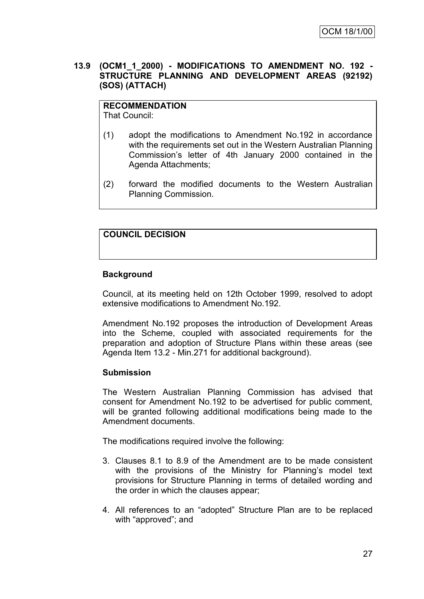#### **13.9 (OCM1\_1\_2000) - MODIFICATIONS TO AMENDMENT NO. 192 - STRUCTURE PLANNING AND DEVELOPMENT AREAS (92192) (SOS) (ATTACH)**

## **RECOMMENDATION**

That Council:

- (1) adopt the modifications to Amendment No.192 in accordance with the requirements set out in the Western Australian Planning Commission"s letter of 4th January 2000 contained in the Agenda Attachments;
- (2) forward the modified documents to the Western Australian Planning Commission.

## **COUNCIL DECISION**

#### **Background**

Council, at its meeting held on 12th October 1999, resolved to adopt extensive modifications to Amendment No.192.

Amendment No.192 proposes the introduction of Development Areas into the Scheme, coupled with associated requirements for the preparation and adoption of Structure Plans within these areas (see Agenda Item 13.2 - Min.271 for additional background).

#### **Submission**

The Western Australian Planning Commission has advised that consent for Amendment No.192 to be advertised for public comment, will be granted following additional modifications being made to the Amendment documents.

The modifications required involve the following:

- 3. Clauses 8.1 to 8.9 of the Amendment are to be made consistent with the provisions of the Ministry for Planning's model text provisions for Structure Planning in terms of detailed wording and the order in which the clauses appear;
- 4. All references to an "adopted" Structure Plan are to be replaced with "approved"; and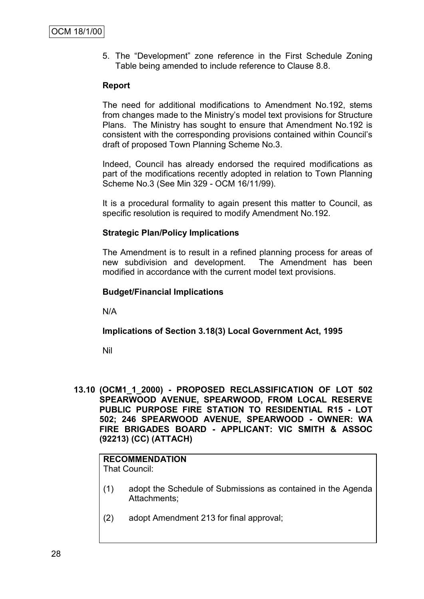5. The "Development" zone reference in the First Schedule Zoning Table being amended to include reference to Clause 8.8.

#### **Report**

The need for additional modifications to Amendment No.192, stems from changes made to the Ministry"s model text provisions for Structure Plans. The Ministry has sought to ensure that Amendment No.192 is consistent with the corresponding provisions contained within Council"s draft of proposed Town Planning Scheme No.3.

Indeed, Council has already endorsed the required modifications as part of the modifications recently adopted in relation to Town Planning Scheme No.3 (See Min 329 - OCM 16/11/99).

It is a procedural formality to again present this matter to Council, as specific resolution is required to modify Amendment No.192.

#### **Strategic Plan/Policy Implications**

The Amendment is to result in a refined planning process for areas of new subdivision and development. The Amendment has been modified in accordance with the current model text provisions.

#### **Budget/Financial Implications**

N/A

#### **Implications of Section 3.18(3) Local Government Act, 1995**

Nil

**13.10 (OCM1\_1\_2000) - PROPOSED RECLASSIFICATION OF LOT 502 SPEARWOOD AVENUE, SPEARWOOD, FROM LOCAL RESERVE PUBLIC PURPOSE FIRE STATION TO RESIDENTIAL R15 - LOT 502; 246 SPEARWOOD AVENUE, SPEARWOOD - OWNER: WA FIRE BRIGADES BOARD - APPLICANT: VIC SMITH & ASSOC (92213) (CC) (ATTACH)**

### **RECOMMENDATION**

That Council:

- (1) adopt the Schedule of Submissions as contained in the Agenda Attachments;
- (2) adopt Amendment 213 for final approval;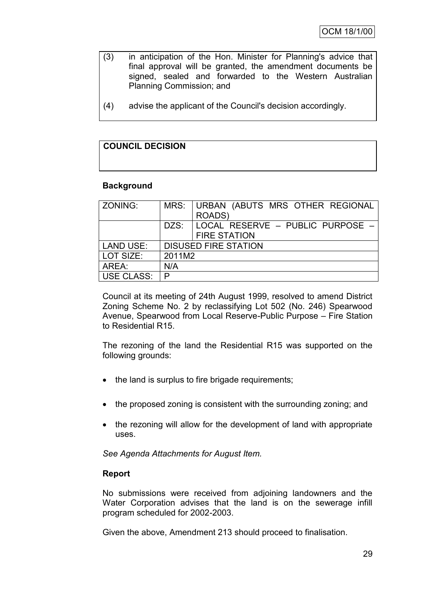- (3) in anticipation of the Hon. Minister for Planning's advice that final approval will be granted, the amendment documents be signed, sealed and forwarded to the Western Australian Planning Commission; and
- (4) advise the applicant of the Council's decision accordingly.

## **COUNCIL DECISION**

#### **Background**

| ZONING:          |                             | MRS: URBAN (ABUTS MRS OTHER REGIONAL    |  |  |
|------------------|-----------------------------|-----------------------------------------|--|--|
|                  |                             | ROADS)                                  |  |  |
|                  |                             | DZS:   LOCAL RESERVE - PUBLIC PURPOSE - |  |  |
|                  |                             | <b>FIRE STATION</b>                     |  |  |
| <b>LAND USE:</b> | <b>DISUSED FIRE STATION</b> |                                         |  |  |
| LOT SIZE:        | 2011M2                      |                                         |  |  |
| AREA:            | N/A                         |                                         |  |  |
| USE CLASS:       | P                           |                                         |  |  |

Council at its meeting of 24th August 1999, resolved to amend District Zoning Scheme No. 2 by reclassifying Lot 502 (No. 246) Spearwood Avenue, Spearwood from Local Reserve-Public Purpose – Fire Station to Residential R15.

The rezoning of the land the Residential R15 was supported on the following grounds:

- the land is surplus to fire brigade requirements;
- the proposed zoning is consistent with the surrounding zoning; and
- the rezoning will allow for the development of land with appropriate uses.

*See Agenda Attachments for August Item.*

#### **Report**

No submissions were received from adjoining landowners and the Water Corporation advises that the land is on the sewerage infill program scheduled for 2002-2003.

Given the above, Amendment 213 should proceed to finalisation.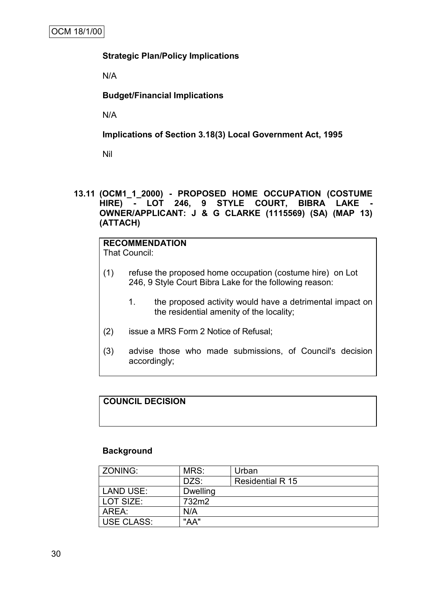#### **Strategic Plan/Policy Implications**

N/A

#### **Budget/Financial Implications**

N/A

#### **Implications of Section 3.18(3) Local Government Act, 1995**

Nil

#### **13.11 (OCM1\_1\_2000) - PROPOSED HOME OCCUPATION (COSTUME HIRE) - LOT 246, 9 STYLE COURT, BIBRA LAKE - OWNER/APPLICANT: J & G CLARKE (1115569) (SA) (MAP 13) (ATTACH)**

### **RECOMMENDATION**

That Council:

- (1) refuse the proposed home occupation (costume hire) on Lot 246, 9 Style Court Bibra Lake for the following reason:
	- 1. the proposed activity would have a detrimental impact on the residential amenity of the locality;
- (2) issue a MRS Form 2 Notice of Refusal;
- (3) advise those who made submissions, of Council's decision accordingly;

#### **COUNCIL DECISION**

#### **Background**

| l ZONING:         | MRS:            | Urban            |
|-------------------|-----------------|------------------|
|                   | DZS:            | Residential R 15 |
| LAND USE:         | <b>Dwelling</b> |                  |
| l LOT SIZE:       | 732m2           |                  |
| AREA:             | N/A             |                  |
| <b>USE CLASS:</b> | "AA"            |                  |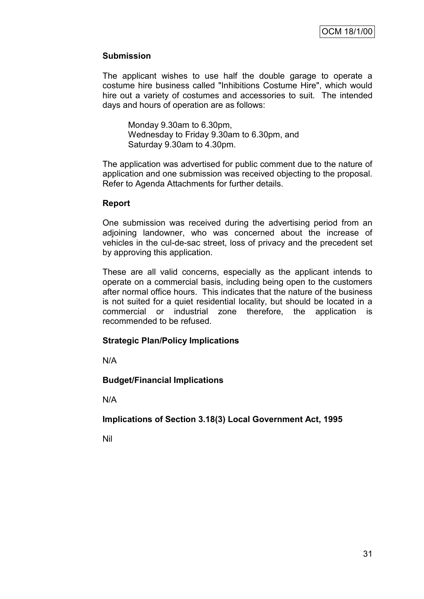## **Submission**

The applicant wishes to use half the double garage to operate a costume hire business called "Inhibitions Costume Hire", which would hire out a variety of costumes and accessories to suit. The intended days and hours of operation are as follows:

Monday 9.30am to 6.30pm, Wednesday to Friday 9.30am to 6.30pm, and Saturday 9.30am to 4.30pm.

The application was advertised for public comment due to the nature of application and one submission was received objecting to the proposal. Refer to Agenda Attachments for further details.

#### **Report**

One submission was received during the advertising period from an adjoining landowner, who was concerned about the increase of vehicles in the cul-de-sac street, loss of privacy and the precedent set by approving this application.

These are all valid concerns, especially as the applicant intends to operate on a commercial basis, including being open to the customers after normal office hours. This indicates that the nature of the business is not suited for a quiet residential locality, but should be located in a commercial or industrial zone therefore, the application is recommended to be refused.

#### **Strategic Plan/Policy Implications**

N/A

#### **Budget/Financial Implications**

N/A

**Implications of Section 3.18(3) Local Government Act, 1995**

Nil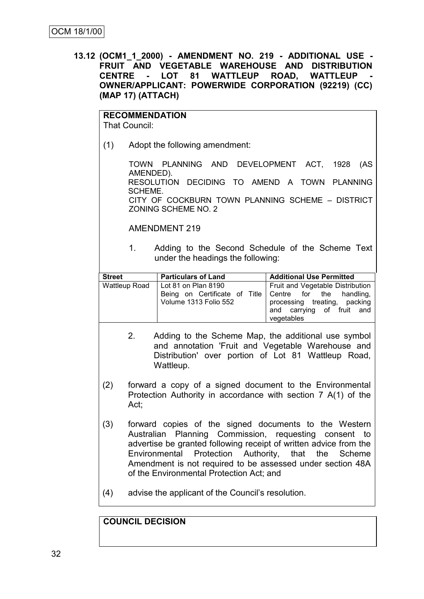**13.12 (OCM1\_1\_2000) - AMENDMENT NO. 219 - ADDITIONAL USE - FRUIT AND VEGETABLE WAREHOUSE AND DISTRIBUTION CENTRE - LOT 81 WATTLEUP ROAD, WATTLEUP - OWNER/APPLICANT: POWERWIDE CORPORATION (92219) (CC) (MAP 17) (ATTACH)**

|               | <b>RECOMMENDATION</b><br>That Council:                                                                                                                                                                                                                                                                                                                  |                                                                                                                                                                    |                                                                                                                                                           |  |  |
|---------------|---------------------------------------------------------------------------------------------------------------------------------------------------------------------------------------------------------------------------------------------------------------------------------------------------------------------------------------------------------|--------------------------------------------------------------------------------------------------------------------------------------------------------------------|-----------------------------------------------------------------------------------------------------------------------------------------------------------|--|--|
| (1)           | Adopt the following amendment:                                                                                                                                                                                                                                                                                                                          |                                                                                                                                                                    |                                                                                                                                                           |  |  |
|               | AMENDED).<br>SCHEME.                                                                                                                                                                                                                                                                                                                                    | TOWN PLANNING AND DEVELOPMENT ACT, 1928<br>RESOLUTION DECIDING TO AMEND A TOWN PLANNING<br>CITY OF COCKBURN TOWN PLANNING SCHEME - DISTRICT<br>ZONING SCHEME NO. 2 | (AS                                                                                                                                                       |  |  |
|               |                                                                                                                                                                                                                                                                                                                                                         | <b>AMENDMENT 219</b>                                                                                                                                               |                                                                                                                                                           |  |  |
|               | 1.                                                                                                                                                                                                                                                                                                                                                      | Adding to the Second Schedule of the Scheme Text<br>under the headings the following:                                                                              |                                                                                                                                                           |  |  |
| <b>Street</b> |                                                                                                                                                                                                                                                                                                                                                         | <b>Particulars of Land</b>                                                                                                                                         | <b>Additional Use Permitted</b>                                                                                                                           |  |  |
|               | Wattleup Road                                                                                                                                                                                                                                                                                                                                           | Lot 81 on Plan 8190<br>Being on Certificate of Title<br>Volume 1313 Folio 552                                                                                      | Fruit and Vegetable Distribution<br>for<br>Centre<br>the<br>handling,<br>processing treating, packing<br>of fruit<br>carrying<br>and<br>and<br>vegetables |  |  |
|               | 2.<br>Adding to the Scheme Map, the additional use symbol<br>and annotation 'Fruit and Vegetable Warehouse and<br>Distribution' over portion of Lot 81 Wattleup Road,<br>Wattleup.                                                                                                                                                                      |                                                                                                                                                                    |                                                                                                                                                           |  |  |
| (2)           | forward a copy of a signed document to the Environmental<br>Protection Authority in accordance with section 7 A(1) of the<br>Act,                                                                                                                                                                                                                       |                                                                                                                                                                    |                                                                                                                                                           |  |  |
| (3)           | forward copies of the signed documents to the Western<br>Australian Planning Commission, requesting consent to<br>advertise be granted following receipt of written advice from the<br>Environmental Protection Authority, that the<br>Scheme<br>Amendment is not required to be assessed under section 48A<br>of the Environmental Protection Act; and |                                                                                                                                                                    |                                                                                                                                                           |  |  |
| (4)           | advise the applicant of the Council's resolution.                                                                                                                                                                                                                                                                                                       |                                                                                                                                                                    |                                                                                                                                                           |  |  |

## **COUNCIL DECISION**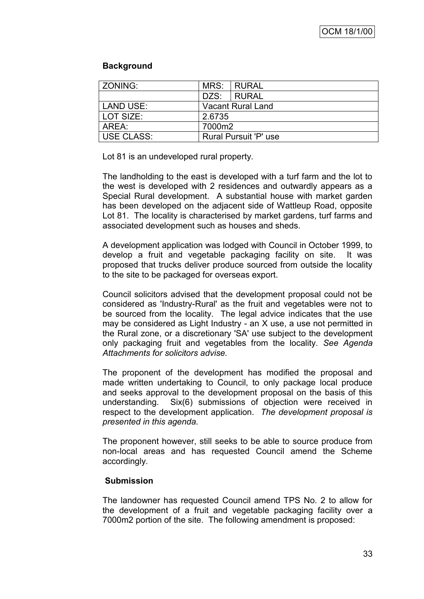#### **Background**

| l ZONING:        |                          | MRS: RURAL |  |
|------------------|--------------------------|------------|--|
|                  |                          | DZS: RURAL |  |
| <b>LAND USE:</b> | <b>Vacant Rural Land</b> |            |  |
| LOT SIZE:        | 2.6735                   |            |  |
| AREA:            | 7000m2                   |            |  |
| l USE CLASS:     | Rural Pursuit 'P' use    |            |  |

Lot 81 is an undeveloped rural property.

The landholding to the east is developed with a turf farm and the lot to the west is developed with 2 residences and outwardly appears as a Special Rural development. A substantial house with market garden has been developed on the adjacent side of Wattleup Road, opposite Lot 81. The locality is characterised by market gardens, turf farms and associated development such as houses and sheds.

A development application was lodged with Council in October 1999, to develop a fruit and vegetable packaging facility on site. It was proposed that trucks deliver produce sourced from outside the locality to the site to be packaged for overseas export.

Council solicitors advised that the development proposal could not be considered as 'Industry-Rural' as the fruit and vegetables were not to be sourced from the locality. The legal advice indicates that the use may be considered as Light Industry - an X use, a use not permitted in the Rural zone, or a discretionary 'SA' use subject to the development only packaging fruit and vegetables from the locality. *See Agenda Attachments for solicitors advise.*

The proponent of the development has modified the proposal and made written undertaking to Council, to only package local produce and seeks approval to the development proposal on the basis of this understanding. Six(6) submissions of objection were received in respect to the development application. *The development proposal is presented in this agenda.*

The proponent however, still seeks to be able to source produce from non-local areas and has requested Council amend the Scheme accordingly.

## **Submission**

The landowner has requested Council amend TPS No. 2 to allow for the development of a fruit and vegetable packaging facility over a 7000m2 portion of the site. The following amendment is proposed: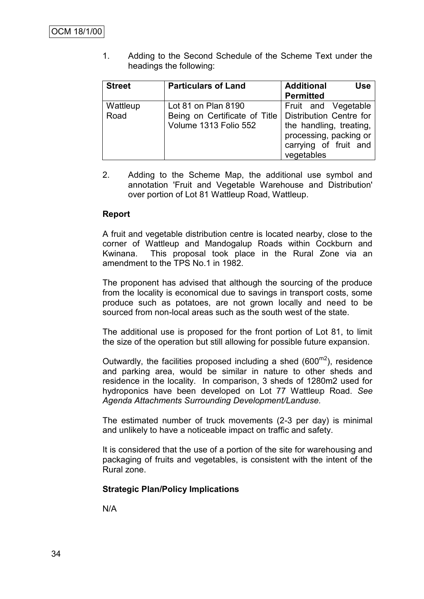1. Adding to the Second Schedule of the Scheme Text under the headings the following:

| <b>Street</b>    | <b>Particulars of Land</b>                                                    | <b>Additional</b><br><b>Use</b><br><b>Permitted</b>                                                                                               |
|------------------|-------------------------------------------------------------------------------|---------------------------------------------------------------------------------------------------------------------------------------------------|
| Wattleup<br>Road | Lot 81 on Plan 8190<br>Being on Certificate of Title<br>Volume 1313 Folio 552 | Fruit and Vegetable<br><b>Distribution Centre for</b><br>the handling, treating,<br>processing, packing or<br>carrying of fruit and<br>vegetables |

2. Adding to the Scheme Map, the additional use symbol and annotation 'Fruit and Vegetable Warehouse and Distribution' over portion of Lot 81 Wattleup Road, Wattleup.

#### **Report**

A fruit and vegetable distribution centre is located nearby, close to the corner of Wattleup and Mandogalup Roads within Cockburn and Kwinana. This proposal took place in the Rural Zone via an amendment to the TPS No.1 in 1982.

The proponent has advised that although the sourcing of the produce from the locality is economical due to savings in transport costs, some produce such as potatoes, are not grown locally and need to be sourced from non-local areas such as the south west of the state.

The additional use is proposed for the front portion of Lot 81, to limit the size of the operation but still allowing for possible future expansion.

Outwardly, the facilities proposed including a shed  $(600<sup>m2</sup>)$ , residence and parking area, would be similar in nature to other sheds and residence in the locality. In comparison, 3 sheds of 1280m2 used for hydroponics have been developed on Lot 77 Wattleup Road. *See Agenda Attachments Surrounding Development/Landuse.*

The estimated number of truck movements (2-3 per day) is minimal and unlikely to have a noticeable impact on traffic and safety.

It is considered that the use of a portion of the site for warehousing and packaging of fruits and vegetables, is consistent with the intent of the Rural zone.

#### **Strategic Plan/Policy Implications**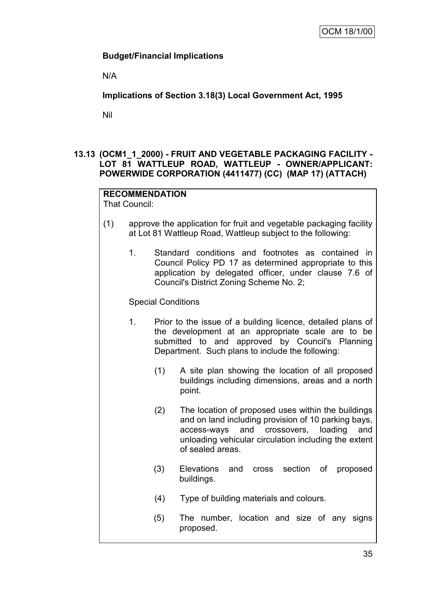### **Budget/Financial Implications**

N/A

**Implications of Section 3.18(3) Local Government Act, 1995**

Nil

## **13.13 (OCM1\_1\_2000) - FRUIT AND VEGETABLE PACKAGING FACILITY - LOT 81 WATTLEUP ROAD, WATTLEUP - OWNER/APPLICANT: POWERWIDE CORPORATION (4411477) (CC) (MAP 17) (ATTACH)**

## **RECOMMENDATION**

That Council:

- (1) approve the application for fruit and vegetable packaging facility at Lot 81 Wattleup Road, Wattleup subject to the following:
	- 1. Standard conditions and footnotes as contained in Council Policy PD 17 as determined appropriate to this application by delegated officer, under clause 7.6 of Council's District Zoning Scheme No. 2;

#### Special Conditions

- 1. Prior to the issue of a building licence, detailed plans of the development at an appropriate scale are to be submitted to and approved by Council's Planning Department. Such plans to include the following:
	- (1) A site plan showing the location of all proposed buildings including dimensions, areas and a north point.
	- (2) The location of proposed uses within the buildings and on land including provision of 10 parking bays, access-ways and crossovers, loading and unloading vehicular circulation including the extent of sealed areas.
	- (3) Elevations and cross section of proposed buildings.
	- (4) Type of building materials and colours.
	- (5) The number, location and size of any signs proposed.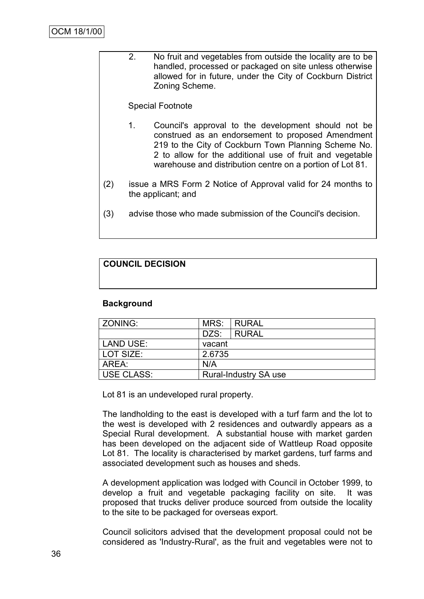2. No fruit and vegetables from outside the locality are to be handled, processed or packaged on site unless otherwise allowed for in future, under the City of Cockburn District Zoning Scheme.

#### Special Footnote

- 1. Council's approval to the development should not be construed as an endorsement to proposed Amendment 219 to the City of Cockburn Town Planning Scheme No. 2 to allow for the additional use of fruit and vegetable warehouse and distribution centre on a portion of Lot 81.
- (2) issue a MRS Form 2 Notice of Approval valid for 24 months to the applicant; and
- (3) advise those who made submission of the Council's decision.

## **COUNCIL DECISION**

#### **Background**

| <b>ZONING:</b>   | MRS:                         | I RURAL      |  |  |
|------------------|------------------------------|--------------|--|--|
|                  | DZS:                         | <b>RURAL</b> |  |  |
| <b>LAND USE:</b> | vacant                       |              |  |  |
| LOT SIZE:        | 2.6735                       |              |  |  |
| AREA:            | N/A                          |              |  |  |
| USE CLASS:       | <b>Rural-Industry SA use</b> |              |  |  |

Lot 81 is an undeveloped rural property.

The landholding to the east is developed with a turf farm and the lot to the west is developed with 2 residences and outwardly appears as a Special Rural development. A substantial house with market garden has been developed on the adjacent side of Wattleup Road opposite Lot 81. The locality is characterised by market gardens, turf farms and associated development such as houses and sheds.

A development application was lodged with Council in October 1999, to develop a fruit and vegetable packaging facility on site. It was proposed that trucks deliver produce sourced from outside the locality to the site to be packaged for overseas export.

Council solicitors advised that the development proposal could not be considered as 'Industry-Rural', as the fruit and vegetables were not to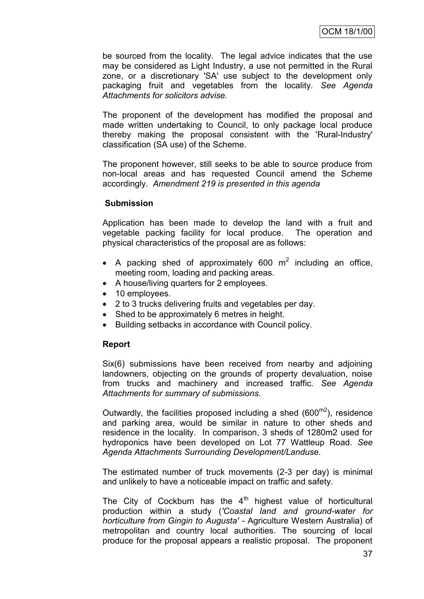be sourced from the locality. The legal advice indicates that the use may be considered as Light Industry, a use not permitted in the Rural zone, or a discretionary 'SA' use subject to the development only packaging fruit and vegetables from the locality. *See Agenda Attachments for solicitors advise.*

The proponent of the development has modified the proposal and made written undertaking to Council, to only package local produce thereby making the proposal consistent with the 'Rural-Industry' classification (SA use) of the Scheme.

The proponent however, still seeks to be able to source produce from non-local areas and has requested Council amend the Scheme accordingly. *Amendment 219 is presented in this agenda*

#### **Submission**

Application has been made to develop the land with a fruit and vegetable packing facility for local produce. The operation and physical characteristics of the proposal are as follows:

- A packing shed of approximately 600  $m^2$  including an office, meeting room, loading and packing areas.
- A house/living quarters for 2 employees.
- 10 employees.
- 2 to 3 trucks delivering fruits and vegetables per day.
- Shed to be approximately 6 metres in height.
- Building setbacks in accordance with Council policy.

#### **Report**

Six(6) submissions have been received from nearby and adjoining landowners, objecting on the grounds of property devaluation, noise from trucks and machinery and increased traffic. *See Agenda Attachments for summary of submissions.*

Outwardly, the facilities proposed including a shed  $(600^{m2})$ , residence and parking area, would be similar in nature to other sheds and residence in the locality. In comparison, 3 sheds of 1280m2 used for hydroponics have been developed on Lot 77 Wattleup Road. *See Agenda Attachments Surrounding Development/Landuse.*

The estimated number of truck movements (2-3 per day) is minimal and unlikely to have a noticeable impact on traffic and safety.

The City of Cockburn has the  $4<sup>th</sup>$  highest value of horticultural production within a study (*'Coastal land and ground-water for horticulture from Gingin to Augusta'* - Agriculture Western Australia) of metropolitan and country local authorities. The sourcing of local produce for the proposal appears a realistic proposal. The proponent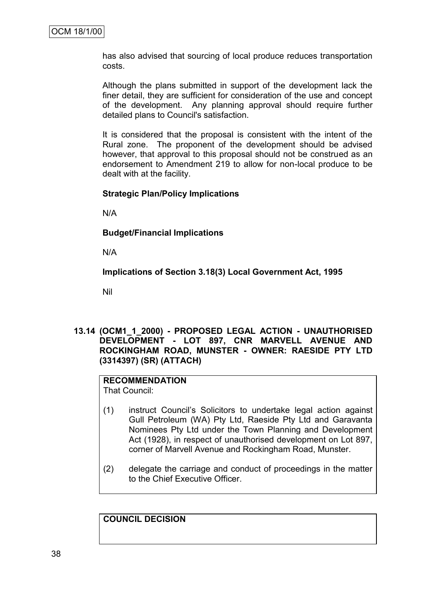has also advised that sourcing of local produce reduces transportation costs.

Although the plans submitted in support of the development lack the finer detail, they are sufficient for consideration of the use and concept of the development. Any planning approval should require further detailed plans to Council's satisfaction.

It is considered that the proposal is consistent with the intent of the Rural zone. The proponent of the development should be advised however, that approval to this proposal should not be construed as an endorsement to Amendment 219 to allow for non-local produce to be dealt with at the facility.

#### **Strategic Plan/Policy Implications**

N/A

**Budget/Financial Implications**

N/A

**Implications of Section 3.18(3) Local Government Act, 1995**

Nil

**13.14 (OCM1\_1\_2000) - PROPOSED LEGAL ACTION - UNAUTHORISED DEVELOPMENT - LOT 897, CNR MARVELL AVENUE AND ROCKINGHAM ROAD, MUNSTER - OWNER: RAESIDE PTY LTD (3314397) (SR) (ATTACH)**

## **RECOMMENDATION**

That Council:

- (1) instruct Council"s Solicitors to undertake legal action against Gull Petroleum (WA) Pty Ltd, Raeside Pty Ltd and Garavanta Nominees Pty Ltd under the Town Planning and Development Act (1928), in respect of unauthorised development on Lot 897, corner of Marvell Avenue and Rockingham Road, Munster.
- (2) delegate the carriage and conduct of proceedings in the matter to the Chief Executive Officer.

**COUNCIL DECISION**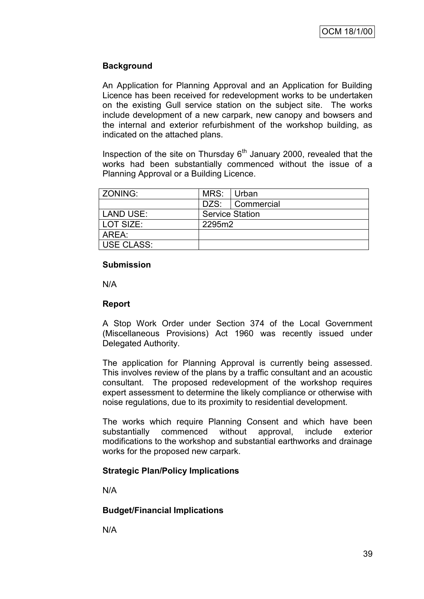### **Background**

An Application for Planning Approval and an Application for Building Licence has been received for redevelopment works to be undertaken on the existing Gull service station on the subject site. The works include development of a new carpark, new canopy and bowsers and the internal and exterior refurbishment of the workshop building, as indicated on the attached plans.

Inspection of the site on Thursday  $6<sup>th</sup>$  January 2000, revealed that the works had been substantially commenced without the issue of a Planning Approval or a Building Licence.

| <b>ZONING:</b> | MRS: Urban             |                   |  |  |
|----------------|------------------------|-------------------|--|--|
|                |                        | DZS:   Commercial |  |  |
| LAND USE:      | <b>Service Station</b> |                   |  |  |
| LOT SIZE:      | 2295m2                 |                   |  |  |
| AREA:          |                        |                   |  |  |
| USE CLASS:     |                        |                   |  |  |

#### **Submission**

N/A

#### **Report**

A Stop Work Order under Section 374 of the Local Government (Miscellaneous Provisions) Act 1960 was recently issued under Delegated Authority.

The application for Planning Approval is currently being assessed. This involves review of the plans by a traffic consultant and an acoustic consultant. The proposed redevelopment of the workshop requires expert assessment to determine the likely compliance or otherwise with noise regulations, due to its proximity to residential development.

The works which require Planning Consent and which have been substantially commenced without approval, include exterior modifications to the workshop and substantial earthworks and drainage works for the proposed new carpark.

## **Strategic Plan/Policy Implications**

N/A

#### **Budget/Financial Implications**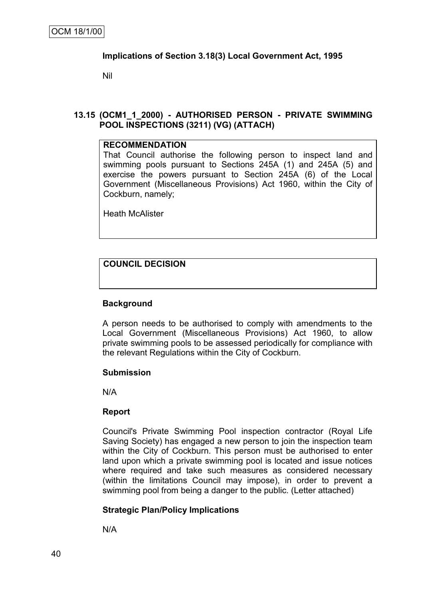#### **Implications of Section 3.18(3) Local Government Act, 1995**

Nil

#### **13.15 (OCM1\_1\_2000) - AUTHORISED PERSON - PRIVATE SWIMMING POOL INSPECTIONS (3211) (VG) (ATTACH)**

#### **RECOMMENDATION**

That Council authorise the following person to inspect land and swimming pools pursuant to Sections 245A (1) and 245A (5) and exercise the powers pursuant to Section 245A (6) of the Local Government (Miscellaneous Provisions) Act 1960, within the City of Cockburn, namely;

Heath McAlister

## **COUNCIL DECISION**

#### **Background**

A person needs to be authorised to comply with amendments to the Local Government (Miscellaneous Provisions) Act 1960, to allow private swimming pools to be assessed periodically for compliance with the relevant Regulations within the City of Cockburn.

#### **Submission**

N/A

#### **Report**

Council's Private Swimming Pool inspection contractor (Royal Life Saving Society) has engaged a new person to join the inspection team within the City of Cockburn. This person must be authorised to enter land upon which a private swimming pool is located and issue notices where required and take such measures as considered necessary (within the limitations Council may impose), in order to prevent a swimming pool from being a danger to the public. (Letter attached)

#### **Strategic Plan/Policy Implications**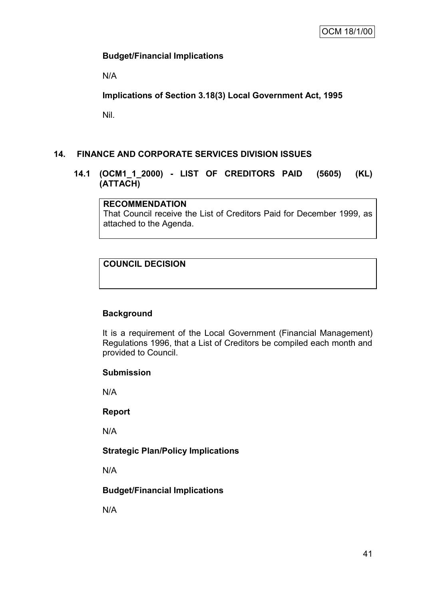### **Budget/Financial Implications**

N/A

**Implications of Section 3.18(3) Local Government Act, 1995**

Nil.

## **14. FINANCE AND CORPORATE SERVICES DIVISION ISSUES**

**14.1 (OCM1\_1\_2000) - LIST OF CREDITORS PAID (5605) (KL) (ATTACH)**

#### **RECOMMENDATION**

That Council receive the List of Creditors Paid for December 1999, as attached to the Agenda.

## **COUNCIL DECISION**

## **Background**

It is a requirement of the Local Government (Financial Management) Regulations 1996, that a List of Creditors be compiled each month and provided to Council.

#### **Submission**

N/A

#### **Report**

N/A

## **Strategic Plan/Policy Implications**

N/A

#### **Budget/Financial Implications**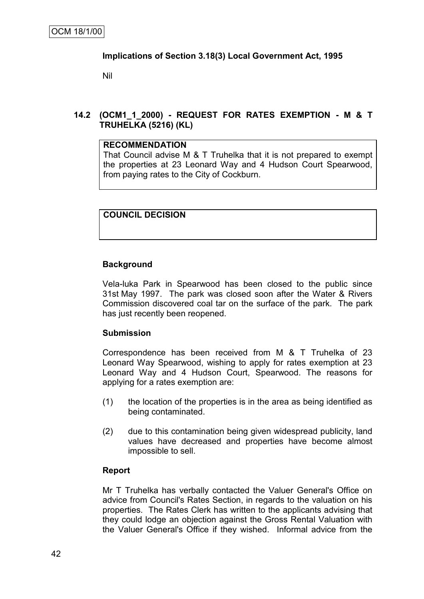#### **Implications of Section 3.18(3) Local Government Act, 1995**

Nil

### **14.2 (OCM1\_1\_2000) - REQUEST FOR RATES EXEMPTION - M & T TRUHELKA (5216) (KL)**

#### **RECOMMENDATION**

That Council advise M & T Truhelka that it is not prepared to exempt the properties at 23 Leonard Way and 4 Hudson Court Spearwood, from paying rates to the City of Cockburn.

## **COUNCIL DECISION**

#### **Background**

Vela-luka Park in Spearwood has been closed to the public since 31st May 1997. The park was closed soon after the Water & Rivers Commission discovered coal tar on the surface of the park. The park has just recently been reopened.

#### **Submission**

Correspondence has been received from M & T Truhelka of 23 Leonard Way Spearwood, wishing to apply for rates exemption at 23 Leonard Way and 4 Hudson Court, Spearwood. The reasons for applying for a rates exemption are:

- (1) the location of the properties is in the area as being identified as being contaminated.
- (2) due to this contamination being given widespread publicity, land values have decreased and properties have become almost impossible to sell.

#### **Report**

Mr T Truhelka has verbally contacted the Valuer General's Office on advice from Council's Rates Section, in regards to the valuation on his properties. The Rates Clerk has written to the applicants advising that they could lodge an objection against the Gross Rental Valuation with the Valuer General's Office if they wished. Informal advice from the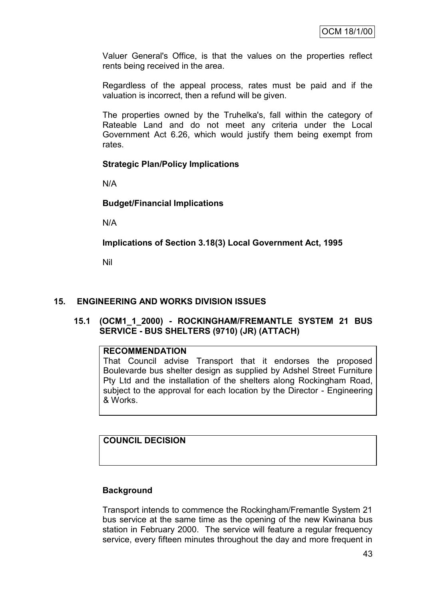Valuer General's Office, is that the values on the properties reflect rents being received in the area.

Regardless of the appeal process, rates must be paid and if the valuation is incorrect, then a refund will be given.

The properties owned by the Truhelka's, fall within the category of Rateable Land and do not meet any criteria under the Local Government Act 6.26, which would justify them being exempt from rates.

#### **Strategic Plan/Policy Implications**

N/A

#### **Budget/Financial Implications**

N/A

**Implications of Section 3.18(3) Local Government Act, 1995**

Nil

#### **15. ENGINEERING AND WORKS DIVISION ISSUES**

#### **15.1 (OCM1\_1\_2000) - ROCKINGHAM/FREMANTLE SYSTEM 21 BUS SERVICE - BUS SHELTERS (9710) (JR) (ATTACH)**

#### **RECOMMENDATION**

That Council advise Transport that it endorses the proposed Boulevarde bus shelter design as supplied by Adshel Street Furniture Pty Ltd and the installation of the shelters along Rockingham Road, subject to the approval for each location by the Director - Engineering & Works.

#### **COUNCIL DECISION**

#### **Background**

Transport intends to commence the Rockingham/Fremantle System 21 bus service at the same time as the opening of the new Kwinana bus station in February 2000. The service will feature a regular frequency service, every fifteen minutes throughout the day and more frequent in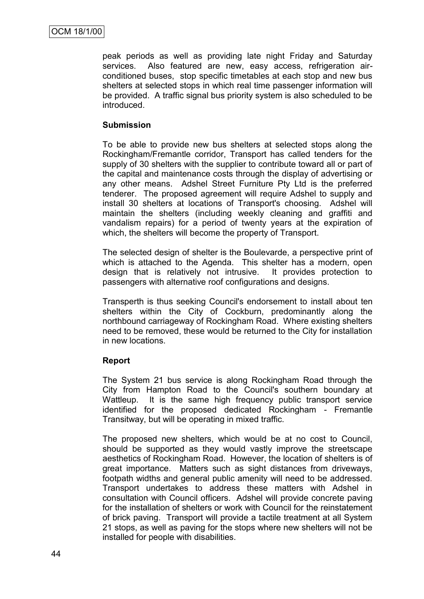peak periods as well as providing late night Friday and Saturday services. Also featured are new, easy access, refrigeration airconditioned buses, stop specific timetables at each stop and new bus shelters at selected stops in which real time passenger information will be provided. A traffic signal bus priority system is also scheduled to be introduced.

#### **Submission**

To be able to provide new bus shelters at selected stops along the Rockingham/Fremantle corridor, Transport has called tenders for the supply of 30 shelters with the supplier to contribute toward all or part of the capital and maintenance costs through the display of advertising or any other means. Adshel Street Furniture Pty Ltd is the preferred tenderer. The proposed agreement will require Adshel to supply and install 30 shelters at locations of Transport's choosing. Adshel will maintain the shelters (including weekly cleaning and graffiti and vandalism repairs) for a period of twenty years at the expiration of which, the shelters will become the property of Transport.

The selected design of shelter is the Boulevarde, a perspective print of which is attached to the Agenda. This shelter has a modern, open design that is relatively not intrusive. It provides protection to passengers with alternative roof configurations and designs.

Transperth is thus seeking Council's endorsement to install about ten shelters within the City of Cockburn, predominantly along the northbound carriageway of Rockingham Road. Where existing shelters need to be removed, these would be returned to the City for installation in new locations.

#### **Report**

The System 21 bus service is along Rockingham Road through the City from Hampton Road to the Council's southern boundary at Wattleup. It is the same high frequency public transport service identified for the proposed dedicated Rockingham - Fremantle Transitway, but will be operating in mixed traffic.

The proposed new shelters, which would be at no cost to Council, should be supported as they would vastly improve the streetscape aesthetics of Rockingham Road. However, the location of shelters is of great importance. Matters such as sight distances from driveways, footpath widths and general public amenity will need to be addressed. Transport undertakes to address these matters with Adshel in consultation with Council officers. Adshel will provide concrete paving for the installation of shelters or work with Council for the reinstatement of brick paving. Transport will provide a tactile treatment at all System 21 stops, as well as paving for the stops where new shelters will not be installed for people with disabilities.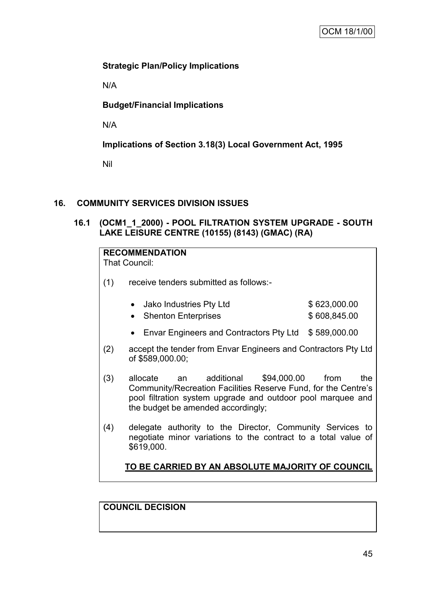## **Strategic Plan/Policy Implications**

N/A

## **Budget/Financial Implications**

N/A

**Implications of Section 3.18(3) Local Government Act, 1995**

Nil

## **16. COMMUNITY SERVICES DIVISION ISSUES**

**16.1 (OCM1\_1\_2000) - POOL FILTRATION SYSTEM UPGRADE - SOUTH LAKE LEISURE CENTRE (10155) (8143) (GMAC) (RA)**

| <b>RECOMMENDATION</b><br>That Council:                  |                                                                                                                                                                                                                    |              |  |  |  |  |  |
|---------------------------------------------------------|--------------------------------------------------------------------------------------------------------------------------------------------------------------------------------------------------------------------|--------------|--|--|--|--|--|
| (1)                                                     | receive tenders submitted as follows:-                                                                                                                                                                             |              |  |  |  |  |  |
|                                                         | Jako Industries Pty Ltd                                                                                                                                                                                            | \$623,000.00 |  |  |  |  |  |
|                                                         | <b>Shenton Enterprises</b><br>$\bullet$                                                                                                                                                                            | \$608,845.00 |  |  |  |  |  |
|                                                         |                                                                                                                                                                                                                    |              |  |  |  |  |  |
|                                                         | Envar Engineers and Contractors Pty Ltd \$589,000.00<br>$\bullet$                                                                                                                                                  |              |  |  |  |  |  |
| (2)                                                     | accept the tender from Envar Engineers and Contractors Pty Ltd<br>of \$589,000.00;                                                                                                                                 |              |  |  |  |  |  |
| (3)                                                     | \$94,000.00<br>additional<br>allocate<br>an<br>Community/Recreation Facilities Reserve Fund, for the Centre's<br>pool filtration system upgrade and outdoor pool marquee and<br>the budget be amended accordingly; | from<br>the  |  |  |  |  |  |
| (4)                                                     | delegate authority to the Director, Community Services to<br>negotiate minor variations to the contract to a total value of<br>\$619,000.                                                                          |              |  |  |  |  |  |
| <u>TO BE CARRIED BY AN ABSOLUTE MAJORITY OF COUNCIL</u> |                                                                                                                                                                                                                    |              |  |  |  |  |  |

**COUNCIL DECISION**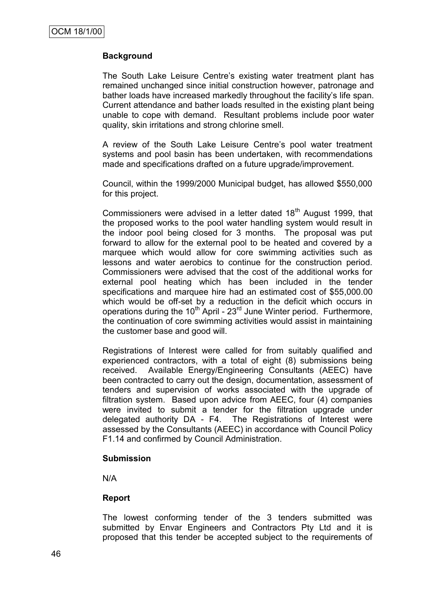## **Background**

The South Lake Leisure Centre's existing water treatment plant has remained unchanged since initial construction however, patronage and bather loads have increased markedly throughout the facility"s life span. Current attendance and bather loads resulted in the existing plant being unable to cope with demand. Resultant problems include poor water quality, skin irritations and strong chlorine smell.

A review of the South Lake Leisure Centre"s pool water treatment systems and pool basin has been undertaken, with recommendations made and specifications drafted on a future upgrade/improvement.

Council, within the 1999/2000 Municipal budget, has allowed \$550,000 for this project.

Commissioners were advised in a letter dated  $18<sup>th</sup>$  August 1999, that the proposed works to the pool water handling system would result in the indoor pool being closed for 3 months. The proposal was put forward to allow for the external pool to be heated and covered by a marquee which would allow for core swimming activities such as lessons and water aerobics to continue for the construction period. Commissioners were advised that the cost of the additional works for external pool heating which has been included in the tender specifications and marquee hire had an estimated cost of \$55,000.00 which would be off-set by a reduction in the deficit which occurs in operations during the 10<sup>th</sup> April - 23<sup>rd</sup> June Winter period. Furthermore, the continuation of core swimming activities would assist in maintaining the customer base and good will.

Registrations of Interest were called for from suitably qualified and experienced contractors, with a total of eight (8) submissions being received. Available Energy/Engineering Consultants (AEEC) have been contracted to carry out the design, documentation, assessment of tenders and supervision of works associated with the upgrade of filtration system. Based upon advice from AEEC, four (4) companies were invited to submit a tender for the filtration upgrade under delegated authority DA - F4. The Registrations of Interest were assessed by the Consultants (AEEC) in accordance with Council Policy F1.14 and confirmed by Council Administration.

#### **Submission**

N/A

#### **Report**

The lowest conforming tender of the 3 tenders submitted was submitted by Envar Engineers and Contractors Pty Ltd and it is proposed that this tender be accepted subject to the requirements of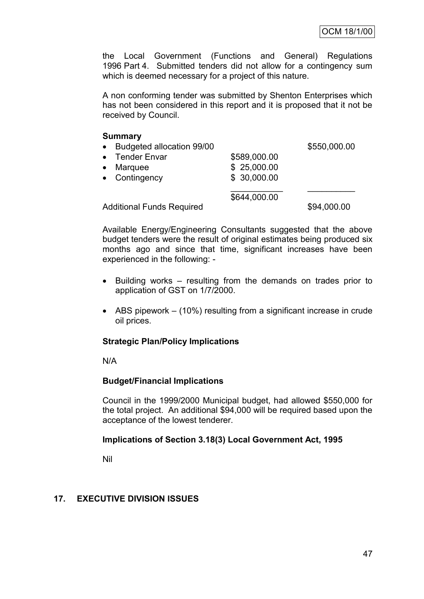the Local Government (Functions and General) Regulations 1996 Part 4. Submitted tenders did not allow for a contingency sum which is deemed necessary for a project of this nature.

A non conforming tender was submitted by Shenton Enterprises which has not been considered in this report and it is proposed that it not be received by Council.

#### **Summary**

| • Budgeted allocation 99/00      |  |              | \$550,000.00 |  |
|----------------------------------|--|--------------|--------------|--|
| • Tender Envar                   |  | \$589,000.00 |              |  |
| Marquee<br>$\bullet$             |  | \$25,000.00  |              |  |
| • Contingency                    |  | \$ 30,000.00 |              |  |
|                                  |  | \$644,000.00 |              |  |
| <b>Additional Funds Required</b> |  | \$94,000.00  |              |  |

Available Energy/Engineering Consultants suggested that the above budget tenders were the result of original estimates being produced six months ago and since that time, significant increases have been experienced in the following: -

- Building works resulting from the demands on trades prior to application of GST on 1/7/2000.
- ABS pipework (10%) resulting from a significant increase in crude oil prices.

#### **Strategic Plan/Policy Implications**

N/A

#### **Budget/Financial Implications**

Council in the 1999/2000 Municipal budget, had allowed \$550,000 for the total project. An additional \$94,000 will be required based upon the acceptance of the lowest tenderer.

#### **Implications of Section 3.18(3) Local Government Act, 1995**

Nil

#### **17. EXECUTIVE DIVISION ISSUES**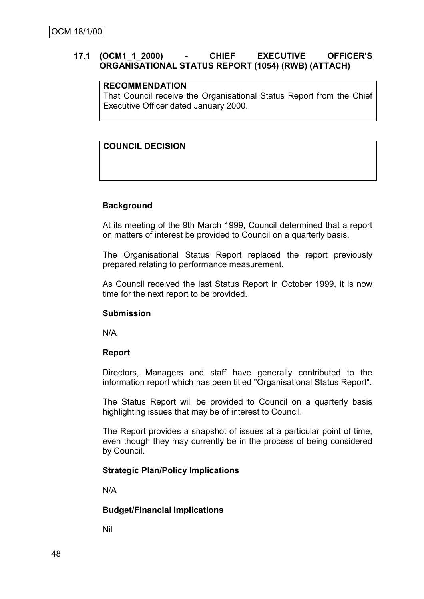### **17.1 (OCM1\_1\_2000) - CHIEF EXECUTIVE OFFICER'S ORGANISATIONAL STATUS REPORT (1054) (RWB) (ATTACH)**

#### **RECOMMENDATION**

That Council receive the Organisational Status Report from the Chief Executive Officer dated January 2000.

## **COUNCIL DECISION**

#### **Background**

At its meeting of the 9th March 1999, Council determined that a report on matters of interest be provided to Council on a quarterly basis.

The Organisational Status Report replaced the report previously prepared relating to performance measurement.

As Council received the last Status Report in October 1999, it is now time for the next report to be provided.

#### **Submission**

N/A

#### **Report**

Directors, Managers and staff have generally contributed to the information report which has been titled "Organisational Status Report".

The Status Report will be provided to Council on a quarterly basis highlighting issues that may be of interest to Council.

The Report provides a snapshot of issues at a particular point of time, even though they may currently be in the process of being considered by Council.

#### **Strategic Plan/Policy Implications**

N/A

#### **Budget/Financial Implications**

Nil